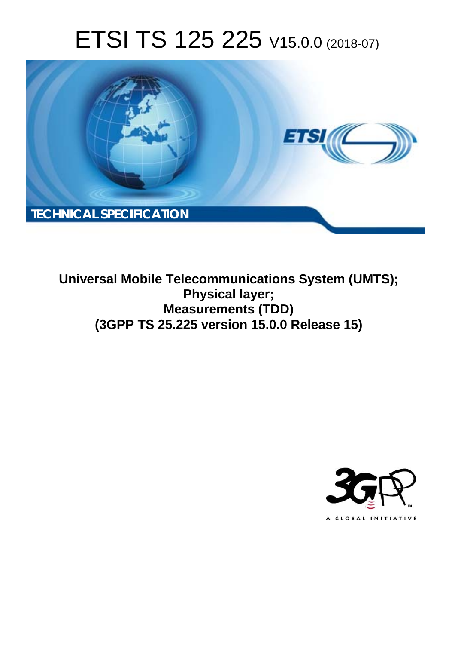# ETSI TS 125 225 V15.0.0 (2018-07)



**Universal Mobile Telecommunications System (UMTS); Physical layer; Measurements (TDD) (3GPP TS 25.225 version 15.0.0 Release 15)** 

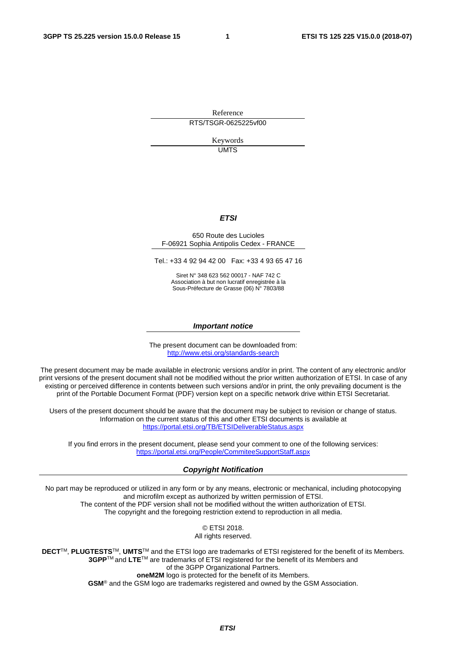Reference RTS/TSGR-0625225vf00

> Keywords UMTS

#### *ETSI*

#### 650 Route des Lucioles F-06921 Sophia Antipolis Cedex - FRANCE

Tel.: +33 4 92 94 42 00 Fax: +33 4 93 65 47 16

Siret N° 348 623 562 00017 - NAF 742 C Association à but non lucratif enregistrée à la Sous-Préfecture de Grasse (06) N° 7803/88

#### *Important notice*

The present document can be downloaded from: <http://www.etsi.org/standards-search>

The present document may be made available in electronic versions and/or in print. The content of any electronic and/or print versions of the present document shall not be modified without the prior written authorization of ETSI. In case of any existing or perceived difference in contents between such versions and/or in print, the only prevailing document is the print of the Portable Document Format (PDF) version kept on a specific network drive within ETSI Secretariat.

Users of the present document should be aware that the document may be subject to revision or change of status. Information on the current status of this and other ETSI documents is available at <https://portal.etsi.org/TB/ETSIDeliverableStatus.aspx>

If you find errors in the present document, please send your comment to one of the following services: <https://portal.etsi.org/People/CommiteeSupportStaff.aspx>

#### *Copyright Notification*

No part may be reproduced or utilized in any form or by any means, electronic or mechanical, including photocopying and microfilm except as authorized by written permission of ETSI. The content of the PDF version shall not be modified without the written authorization of ETSI. The copyright and the foregoing restriction extend to reproduction in all media.

> © ETSI 2018. All rights reserved.

**DECT**TM, **PLUGTESTS**TM, **UMTS**TM and the ETSI logo are trademarks of ETSI registered for the benefit of its Members. **3GPP**TM and **LTE**TM are trademarks of ETSI registered for the benefit of its Members and of the 3GPP Organizational Partners. **oneM2M** logo is protected for the benefit of its Members.

**GSM**® and the GSM logo are trademarks registered and owned by the GSM Association.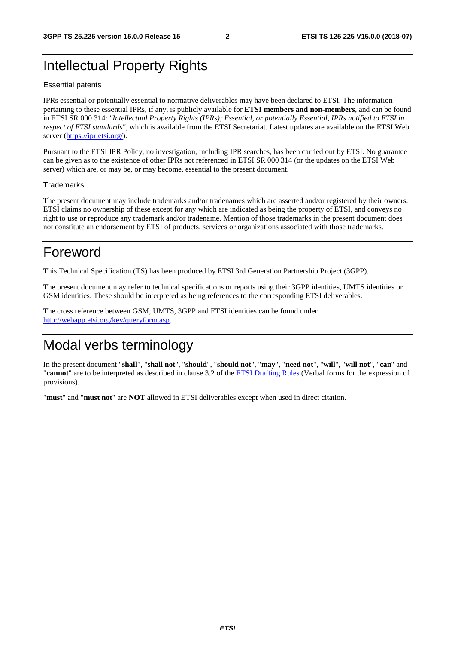### Intellectual Property Rights

#### Essential patents

IPRs essential or potentially essential to normative deliverables may have been declared to ETSI. The information pertaining to these essential IPRs, if any, is publicly available for **ETSI members and non-members**, and can be found in ETSI SR 000 314: *"Intellectual Property Rights (IPRs); Essential, or potentially Essential, IPRs notified to ETSI in respect of ETSI standards"*, which is available from the ETSI Secretariat. Latest updates are available on the ETSI Web server ([https://ipr.etsi.org/\)](https://ipr.etsi.org/).

Pursuant to the ETSI IPR Policy, no investigation, including IPR searches, has been carried out by ETSI. No guarantee can be given as to the existence of other IPRs not referenced in ETSI SR 000 314 (or the updates on the ETSI Web server) which are, or may be, or may become, essential to the present document.

#### **Trademarks**

The present document may include trademarks and/or tradenames which are asserted and/or registered by their owners. ETSI claims no ownership of these except for any which are indicated as being the property of ETSI, and conveys no right to use or reproduce any trademark and/or tradename. Mention of those trademarks in the present document does not constitute an endorsement by ETSI of products, services or organizations associated with those trademarks.

### Foreword

This Technical Specification (TS) has been produced by ETSI 3rd Generation Partnership Project (3GPP).

The present document may refer to technical specifications or reports using their 3GPP identities, UMTS identities or GSM identities. These should be interpreted as being references to the corresponding ETSI deliverables.

The cross reference between GSM, UMTS, 3GPP and ETSI identities can be found under [http://webapp.etsi.org/key/queryform.asp.](http://webapp.etsi.org/key/queryform.asp)

### Modal verbs terminology

In the present document "**shall**", "**shall not**", "**should**", "**should not**", "**may**", "**need not**", "**will**", "**will not**", "**can**" and "**cannot**" are to be interpreted as described in clause 3.2 of the [ETSI Drafting Rules](https://portal.etsi.org/Services/editHelp!/Howtostart/ETSIDraftingRules.aspx) (Verbal forms for the expression of provisions).

"**must**" and "**must not**" are **NOT** allowed in ETSI deliverables except when used in direct citation.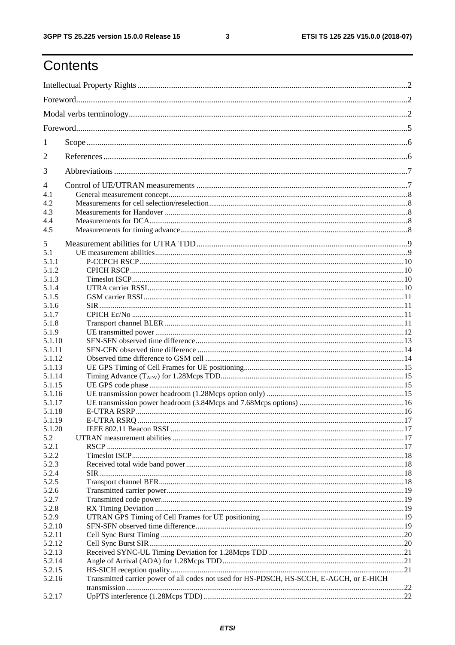$\mathbf{3}$ 

# Contents

| 1      |                                                                                          |  |  |
|--------|------------------------------------------------------------------------------------------|--|--|
| 2      |                                                                                          |  |  |
| 3      |                                                                                          |  |  |
| 4      |                                                                                          |  |  |
| 4.1    |                                                                                          |  |  |
| 4.2    |                                                                                          |  |  |
| 4.3    |                                                                                          |  |  |
| 4.4    |                                                                                          |  |  |
| 4.5    |                                                                                          |  |  |
| 5      |                                                                                          |  |  |
| 5.1    |                                                                                          |  |  |
| 5.1.1  |                                                                                          |  |  |
| 5.1.2  |                                                                                          |  |  |
|        |                                                                                          |  |  |
| 5.1.3  |                                                                                          |  |  |
| 5.1.4  |                                                                                          |  |  |
| 5.1.5  |                                                                                          |  |  |
| 5.1.6  |                                                                                          |  |  |
| 5.1.7  |                                                                                          |  |  |
| 5.1.8  |                                                                                          |  |  |
| 5.1.9  |                                                                                          |  |  |
| 5.1.10 |                                                                                          |  |  |
| 5.1.11 |                                                                                          |  |  |
| 5.1.12 |                                                                                          |  |  |
| 5.1.13 |                                                                                          |  |  |
| 5.1.14 |                                                                                          |  |  |
| 5.1.15 |                                                                                          |  |  |
| 5.1.16 |                                                                                          |  |  |
| 5.1.17 |                                                                                          |  |  |
| 5.1.18 |                                                                                          |  |  |
| 5.1.19 |                                                                                          |  |  |
| 5.1.20 |                                                                                          |  |  |
| 5.2    |                                                                                          |  |  |
| 5.2.1  |                                                                                          |  |  |
| 5.2.2  |                                                                                          |  |  |
| 5.2.3  |                                                                                          |  |  |
| 5.2.4  |                                                                                          |  |  |
| 5.2.5  |                                                                                          |  |  |
| 5.2.6  |                                                                                          |  |  |
| 5.2.7  |                                                                                          |  |  |
| 5.2.8  |                                                                                          |  |  |
| 5.2.9  |                                                                                          |  |  |
| 5.2.10 |                                                                                          |  |  |
| 5.2.11 |                                                                                          |  |  |
| 5.2.12 |                                                                                          |  |  |
| 5.2.13 |                                                                                          |  |  |
| 5.2.14 |                                                                                          |  |  |
| 5.2.15 |                                                                                          |  |  |
| 5.2.16 | Transmitted carrier power of all codes not used for HS-PDSCH, HS-SCCH, E-AGCH, or E-HICH |  |  |
|        |                                                                                          |  |  |
| 5.2.17 |                                                                                          |  |  |
|        |                                                                                          |  |  |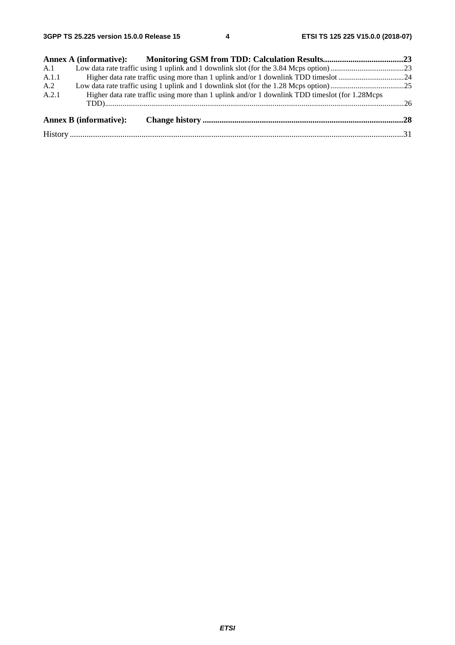| A.1   |                               |                                                                                               |  |
|-------|-------------------------------|-----------------------------------------------------------------------------------------------|--|
| A.1.1 |                               |                                                                                               |  |
| A.2   |                               |                                                                                               |  |
| A.2.1 |                               | Higher data rate traffic using more than 1 uplink and/or 1 downlink TDD times of the 1.28Mcps |  |
|       | <b>Annex B</b> (informative): |                                                                                               |  |
|       |                               |                                                                                               |  |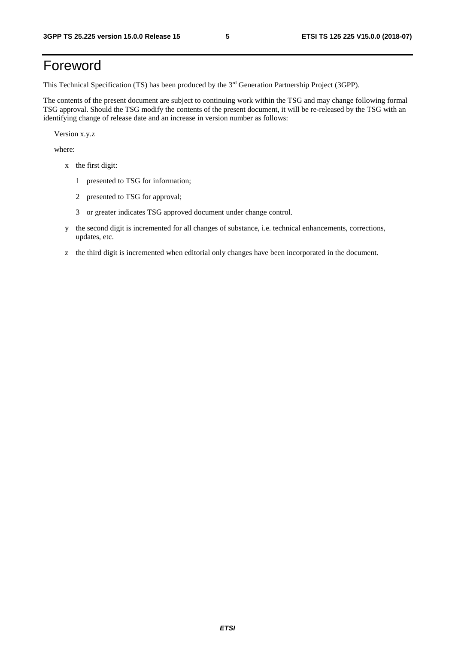# Foreword

This Technical Specification (TS) has been produced by the 3rd Generation Partnership Project (3GPP).

The contents of the present document are subject to continuing work within the TSG and may change following formal TSG approval. Should the TSG modify the contents of the present document, it will be re-released by the TSG with an identifying change of release date and an increase in version number as follows:

Version x.y.z

where:

- x the first digit:
	- 1 presented to TSG for information;
	- 2 presented to TSG for approval;
	- 3 or greater indicates TSG approved document under change control.
- y the second digit is incremented for all changes of substance, i.e. technical enhancements, corrections, updates, etc.
- z the third digit is incremented when editorial only changes have been incorporated in the document.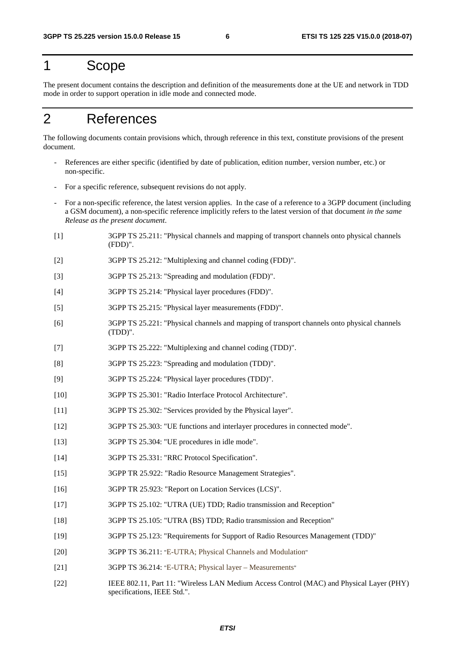### 1 Scope

The present document contains the description and definition of the measurements done at the UE and network in TDD mode in order to support operation in idle mode and connected mode.

# 2 References

The following documents contain provisions which, through reference in this text, constitute provisions of the present document.

- References are either specific (identified by date of publication, edition number, version number, etc.) or non-specific.
- For a specific reference, subsequent revisions do not apply.
- For a non-specific reference, the latest version applies. In the case of a reference to a 3GPP document (including a GSM document), a non-specific reference implicitly refers to the latest version of that document *in the same Release as the present document*.
- [1] 3GPP TS 25.211: "Physical channels and mapping of transport channels onto physical channels (FDD)".
- [2] 3GPP TS 25.212: "Multiplexing and channel coding (FDD)".
- [3] 3GPP TS 25.213: "Spreading and modulation (FDD)".
- [4] 3GPP TS 25.214: "Physical layer procedures (FDD)".
- [5] 3GPP TS 25.215: "Physical layer measurements (FDD)".
- [6] 3GPP TS 25.221: "Physical channels and mapping of transport channels onto physical channels (TDD)".
- [7] 3GPP TS 25.222: "Multiplexing and channel coding (TDD)".
- [8] 3GPP TS 25.223: "Spreading and modulation (TDD)".
- [9] 3GPP TS 25.224: "Physical layer procedures (TDD)".
- [10] 3GPP TS 25.301: "Radio Interface Protocol Architecture".
- [11] 3GPP TS 25.302: "Services provided by the Physical layer".
- [12] 3GPP TS 25.303: "UE functions and interlayer procedures in connected mode".
- [13] 3GPP TS 25.304: "UE procedures in idle mode".
- [14] 3GPP TS 25.331: "RRC Protocol Specification".
- [15] 3GPP TR 25.922: "Radio Resource Management Strategies".
- [16] 3GPP TR 25.923: "Report on Location Services (LCS)".
- [17] 3GPP TS 25.102: "UTRA (UE) TDD; Radio transmission and Reception"
- [18] 3GPP TS 25.105: "UTRA (BS) TDD; Radio transmission and Reception"
- [19] 3GPP TS 25.123: "Requirements for Support of Radio Resources Management (TDD)"
- [20] 3GPP TS 36.211: "E-UTRA; Physical Channels and Modulation"
- [21] 3GPP TS 36.214: "E-UTRA; Physical layer Measurements"
- [22] IEEE 802.11, Part 11: "Wireless LAN Medium Access Control (MAC) and Physical Layer (PHY) specifications, IEEE Std.".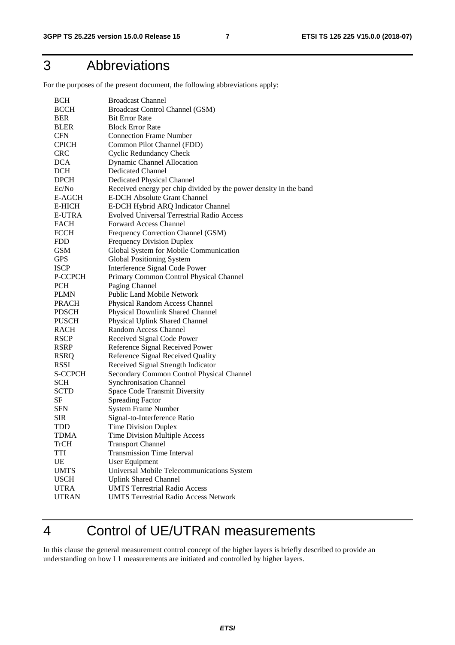# 3 Abbreviations

For the purposes of the present document, the following abbreviations apply:

| <b>BCCH</b><br>Broadcast Control Channel (GSM)<br><b>Bit Error Rate</b><br>BER<br><b>Block Error Rate</b><br><b>BLER</b><br><b>Connection Frame Number</b><br><b>CFN</b><br><b>CPICH</b><br>Common Pilot Channel (FDD)<br><b>CRC</b><br><b>Cyclic Redundancy Check</b><br><b>DCA</b><br>Dynamic Channel Allocation<br><b>DCH</b><br><b>Dedicated Channel</b><br><b>DPCH</b><br>Dedicated Physical Channel<br>Ec/No<br>Received energy per chip divided by the power density in the band<br><b>E-DCH Absolute Grant Channel</b><br>E-AGCH<br>E-HICH<br>E-DCH Hybrid ARQ Indicator Channel<br><b>E-UTRA</b><br><b>Evolved Universal Terrestrial Radio Access</b><br><b>Forward Access Channel</b><br><b>FACH</b><br><b>FCCH</b><br>Frequency Correction Channel (GSM)<br><b>Frequency Division Duplex</b><br><b>FDD</b><br>Global System for Mobile Communication<br><b>GSM</b><br>Global Positioning System<br><b>GPS</b><br>Interference Signal Code Power<br><b>ISCP</b><br>Primary Common Control Physical Channel<br>P-CCPCH<br>Paging Channel<br><b>PCH</b><br>Public Land Mobile Network<br><b>PLMN</b><br><b>PRACH</b><br>Physical Random Access Channel<br><b>PDSCH</b><br>Physical Downlink Shared Channel<br><b>PUSCH</b><br>Physical Uplink Shared Channel<br>Random Access Channel<br><b>RACH</b><br>Received Signal Code Power<br><b>RSCP</b><br><b>RSRP</b><br>Reference Signal Received Power<br>Reference Signal Received Quality<br><b>RSRQ</b><br><b>RSSI</b><br>Received Signal Strength Indicator<br><b>S-CCPCH</b><br>Secondary Common Control Physical Channel<br><b>SCH</b><br><b>Synchronisation Channel</b><br><b>SCTD</b><br>Space Code Transmit Diversity<br>SF<br><b>Spreading Factor</b><br><b>SFN</b><br><b>System Frame Number</b><br>Signal-to-Interference Ratio<br><b>SIR</b><br>TDD<br><b>Time Division Duplex</b><br><b>TDMA</b><br>Time Division Multiple Access<br><b>TrCH</b><br><b>Transport Channel</b><br><b>Transmission Time Interval</b><br><b>TTI</b><br>UE<br>User Equipment<br><b>UMTS</b><br>Universal Mobile Telecommunications System<br><b>USCH</b><br><b>Uplink Shared Channel</b><br><b>UTRA</b><br><b>UMTS Terrestrial Radio Access</b> | <b>BCH</b>   | <b>Broadcast Channel</b>                     |
|-----------------------------------------------------------------------------------------------------------------------------------------------------------------------------------------------------------------------------------------------------------------------------------------------------------------------------------------------------------------------------------------------------------------------------------------------------------------------------------------------------------------------------------------------------------------------------------------------------------------------------------------------------------------------------------------------------------------------------------------------------------------------------------------------------------------------------------------------------------------------------------------------------------------------------------------------------------------------------------------------------------------------------------------------------------------------------------------------------------------------------------------------------------------------------------------------------------------------------------------------------------------------------------------------------------------------------------------------------------------------------------------------------------------------------------------------------------------------------------------------------------------------------------------------------------------------------------------------------------------------------------------------------------------------------------------------------------------------------------------------------------------------------------------------------------------------------------------------------------------------------------------------------------------------------------------------------------------------------------------------------------------------------------------------------------------------------------------------------------------------------------------------------------------------------------------------|--------------|----------------------------------------------|
|                                                                                                                                                                                                                                                                                                                                                                                                                                                                                                                                                                                                                                                                                                                                                                                                                                                                                                                                                                                                                                                                                                                                                                                                                                                                                                                                                                                                                                                                                                                                                                                                                                                                                                                                                                                                                                                                                                                                                                                                                                                                                                                                                                                               |              |                                              |
|                                                                                                                                                                                                                                                                                                                                                                                                                                                                                                                                                                                                                                                                                                                                                                                                                                                                                                                                                                                                                                                                                                                                                                                                                                                                                                                                                                                                                                                                                                                                                                                                                                                                                                                                                                                                                                                                                                                                                                                                                                                                                                                                                                                               |              |                                              |
|                                                                                                                                                                                                                                                                                                                                                                                                                                                                                                                                                                                                                                                                                                                                                                                                                                                                                                                                                                                                                                                                                                                                                                                                                                                                                                                                                                                                                                                                                                                                                                                                                                                                                                                                                                                                                                                                                                                                                                                                                                                                                                                                                                                               |              |                                              |
|                                                                                                                                                                                                                                                                                                                                                                                                                                                                                                                                                                                                                                                                                                                                                                                                                                                                                                                                                                                                                                                                                                                                                                                                                                                                                                                                                                                                                                                                                                                                                                                                                                                                                                                                                                                                                                                                                                                                                                                                                                                                                                                                                                                               |              |                                              |
|                                                                                                                                                                                                                                                                                                                                                                                                                                                                                                                                                                                                                                                                                                                                                                                                                                                                                                                                                                                                                                                                                                                                                                                                                                                                                                                                                                                                                                                                                                                                                                                                                                                                                                                                                                                                                                                                                                                                                                                                                                                                                                                                                                                               |              |                                              |
|                                                                                                                                                                                                                                                                                                                                                                                                                                                                                                                                                                                                                                                                                                                                                                                                                                                                                                                                                                                                                                                                                                                                                                                                                                                                                                                                                                                                                                                                                                                                                                                                                                                                                                                                                                                                                                                                                                                                                                                                                                                                                                                                                                                               |              |                                              |
|                                                                                                                                                                                                                                                                                                                                                                                                                                                                                                                                                                                                                                                                                                                                                                                                                                                                                                                                                                                                                                                                                                                                                                                                                                                                                                                                                                                                                                                                                                                                                                                                                                                                                                                                                                                                                                                                                                                                                                                                                                                                                                                                                                                               |              |                                              |
|                                                                                                                                                                                                                                                                                                                                                                                                                                                                                                                                                                                                                                                                                                                                                                                                                                                                                                                                                                                                                                                                                                                                                                                                                                                                                                                                                                                                                                                                                                                                                                                                                                                                                                                                                                                                                                                                                                                                                                                                                                                                                                                                                                                               |              |                                              |
|                                                                                                                                                                                                                                                                                                                                                                                                                                                                                                                                                                                                                                                                                                                                                                                                                                                                                                                                                                                                                                                                                                                                                                                                                                                                                                                                                                                                                                                                                                                                                                                                                                                                                                                                                                                                                                                                                                                                                                                                                                                                                                                                                                                               |              |                                              |
|                                                                                                                                                                                                                                                                                                                                                                                                                                                                                                                                                                                                                                                                                                                                                                                                                                                                                                                                                                                                                                                                                                                                                                                                                                                                                                                                                                                                                                                                                                                                                                                                                                                                                                                                                                                                                                                                                                                                                                                                                                                                                                                                                                                               |              |                                              |
|                                                                                                                                                                                                                                                                                                                                                                                                                                                                                                                                                                                                                                                                                                                                                                                                                                                                                                                                                                                                                                                                                                                                                                                                                                                                                                                                                                                                                                                                                                                                                                                                                                                                                                                                                                                                                                                                                                                                                                                                                                                                                                                                                                                               |              |                                              |
|                                                                                                                                                                                                                                                                                                                                                                                                                                                                                                                                                                                                                                                                                                                                                                                                                                                                                                                                                                                                                                                                                                                                                                                                                                                                                                                                                                                                                                                                                                                                                                                                                                                                                                                                                                                                                                                                                                                                                                                                                                                                                                                                                                                               |              |                                              |
|                                                                                                                                                                                                                                                                                                                                                                                                                                                                                                                                                                                                                                                                                                                                                                                                                                                                                                                                                                                                                                                                                                                                                                                                                                                                                                                                                                                                                                                                                                                                                                                                                                                                                                                                                                                                                                                                                                                                                                                                                                                                                                                                                                                               |              |                                              |
|                                                                                                                                                                                                                                                                                                                                                                                                                                                                                                                                                                                                                                                                                                                                                                                                                                                                                                                                                                                                                                                                                                                                                                                                                                                                                                                                                                                                                                                                                                                                                                                                                                                                                                                                                                                                                                                                                                                                                                                                                                                                                                                                                                                               |              |                                              |
|                                                                                                                                                                                                                                                                                                                                                                                                                                                                                                                                                                                                                                                                                                                                                                                                                                                                                                                                                                                                                                                                                                                                                                                                                                                                                                                                                                                                                                                                                                                                                                                                                                                                                                                                                                                                                                                                                                                                                                                                                                                                                                                                                                                               |              |                                              |
|                                                                                                                                                                                                                                                                                                                                                                                                                                                                                                                                                                                                                                                                                                                                                                                                                                                                                                                                                                                                                                                                                                                                                                                                                                                                                                                                                                                                                                                                                                                                                                                                                                                                                                                                                                                                                                                                                                                                                                                                                                                                                                                                                                                               |              |                                              |
|                                                                                                                                                                                                                                                                                                                                                                                                                                                                                                                                                                                                                                                                                                                                                                                                                                                                                                                                                                                                                                                                                                                                                                                                                                                                                                                                                                                                                                                                                                                                                                                                                                                                                                                                                                                                                                                                                                                                                                                                                                                                                                                                                                                               |              |                                              |
|                                                                                                                                                                                                                                                                                                                                                                                                                                                                                                                                                                                                                                                                                                                                                                                                                                                                                                                                                                                                                                                                                                                                                                                                                                                                                                                                                                                                                                                                                                                                                                                                                                                                                                                                                                                                                                                                                                                                                                                                                                                                                                                                                                                               |              |                                              |
|                                                                                                                                                                                                                                                                                                                                                                                                                                                                                                                                                                                                                                                                                                                                                                                                                                                                                                                                                                                                                                                                                                                                                                                                                                                                                                                                                                                                                                                                                                                                                                                                                                                                                                                                                                                                                                                                                                                                                                                                                                                                                                                                                                                               |              |                                              |
|                                                                                                                                                                                                                                                                                                                                                                                                                                                                                                                                                                                                                                                                                                                                                                                                                                                                                                                                                                                                                                                                                                                                                                                                                                                                                                                                                                                                                                                                                                                                                                                                                                                                                                                                                                                                                                                                                                                                                                                                                                                                                                                                                                                               |              |                                              |
|                                                                                                                                                                                                                                                                                                                                                                                                                                                                                                                                                                                                                                                                                                                                                                                                                                                                                                                                                                                                                                                                                                                                                                                                                                                                                                                                                                                                                                                                                                                                                                                                                                                                                                                                                                                                                                                                                                                                                                                                                                                                                                                                                                                               |              |                                              |
|                                                                                                                                                                                                                                                                                                                                                                                                                                                                                                                                                                                                                                                                                                                                                                                                                                                                                                                                                                                                                                                                                                                                                                                                                                                                                                                                                                                                                                                                                                                                                                                                                                                                                                                                                                                                                                                                                                                                                                                                                                                                                                                                                                                               |              |                                              |
|                                                                                                                                                                                                                                                                                                                                                                                                                                                                                                                                                                                                                                                                                                                                                                                                                                                                                                                                                                                                                                                                                                                                                                                                                                                                                                                                                                                                                                                                                                                                                                                                                                                                                                                                                                                                                                                                                                                                                                                                                                                                                                                                                                                               |              |                                              |
|                                                                                                                                                                                                                                                                                                                                                                                                                                                                                                                                                                                                                                                                                                                                                                                                                                                                                                                                                                                                                                                                                                                                                                                                                                                                                                                                                                                                                                                                                                                                                                                                                                                                                                                                                                                                                                                                                                                                                                                                                                                                                                                                                                                               |              |                                              |
|                                                                                                                                                                                                                                                                                                                                                                                                                                                                                                                                                                                                                                                                                                                                                                                                                                                                                                                                                                                                                                                                                                                                                                                                                                                                                                                                                                                                                                                                                                                                                                                                                                                                                                                                                                                                                                                                                                                                                                                                                                                                                                                                                                                               |              |                                              |
|                                                                                                                                                                                                                                                                                                                                                                                                                                                                                                                                                                                                                                                                                                                                                                                                                                                                                                                                                                                                                                                                                                                                                                                                                                                                                                                                                                                                                                                                                                                                                                                                                                                                                                                                                                                                                                                                                                                                                                                                                                                                                                                                                                                               |              |                                              |
|                                                                                                                                                                                                                                                                                                                                                                                                                                                                                                                                                                                                                                                                                                                                                                                                                                                                                                                                                                                                                                                                                                                                                                                                                                                                                                                                                                                                                                                                                                                                                                                                                                                                                                                                                                                                                                                                                                                                                                                                                                                                                                                                                                                               |              |                                              |
|                                                                                                                                                                                                                                                                                                                                                                                                                                                                                                                                                                                                                                                                                                                                                                                                                                                                                                                                                                                                                                                                                                                                                                                                                                                                                                                                                                                                                                                                                                                                                                                                                                                                                                                                                                                                                                                                                                                                                                                                                                                                                                                                                                                               |              |                                              |
|                                                                                                                                                                                                                                                                                                                                                                                                                                                                                                                                                                                                                                                                                                                                                                                                                                                                                                                                                                                                                                                                                                                                                                                                                                                                                                                                                                                                                                                                                                                                                                                                                                                                                                                                                                                                                                                                                                                                                                                                                                                                                                                                                                                               |              |                                              |
|                                                                                                                                                                                                                                                                                                                                                                                                                                                                                                                                                                                                                                                                                                                                                                                                                                                                                                                                                                                                                                                                                                                                                                                                                                                                                                                                                                                                                                                                                                                                                                                                                                                                                                                                                                                                                                                                                                                                                                                                                                                                                                                                                                                               |              |                                              |
|                                                                                                                                                                                                                                                                                                                                                                                                                                                                                                                                                                                                                                                                                                                                                                                                                                                                                                                                                                                                                                                                                                                                                                                                                                                                                                                                                                                                                                                                                                                                                                                                                                                                                                                                                                                                                                                                                                                                                                                                                                                                                                                                                                                               |              |                                              |
|                                                                                                                                                                                                                                                                                                                                                                                                                                                                                                                                                                                                                                                                                                                                                                                                                                                                                                                                                                                                                                                                                                                                                                                                                                                                                                                                                                                                                                                                                                                                                                                                                                                                                                                                                                                                                                                                                                                                                                                                                                                                                                                                                                                               |              |                                              |
|                                                                                                                                                                                                                                                                                                                                                                                                                                                                                                                                                                                                                                                                                                                                                                                                                                                                                                                                                                                                                                                                                                                                                                                                                                                                                                                                                                                                                                                                                                                                                                                                                                                                                                                                                                                                                                                                                                                                                                                                                                                                                                                                                                                               |              |                                              |
|                                                                                                                                                                                                                                                                                                                                                                                                                                                                                                                                                                                                                                                                                                                                                                                                                                                                                                                                                                                                                                                                                                                                                                                                                                                                                                                                                                                                                                                                                                                                                                                                                                                                                                                                                                                                                                                                                                                                                                                                                                                                                                                                                                                               |              |                                              |
|                                                                                                                                                                                                                                                                                                                                                                                                                                                                                                                                                                                                                                                                                                                                                                                                                                                                                                                                                                                                                                                                                                                                                                                                                                                                                                                                                                                                                                                                                                                                                                                                                                                                                                                                                                                                                                                                                                                                                                                                                                                                                                                                                                                               |              |                                              |
|                                                                                                                                                                                                                                                                                                                                                                                                                                                                                                                                                                                                                                                                                                                                                                                                                                                                                                                                                                                                                                                                                                                                                                                                                                                                                                                                                                                                                                                                                                                                                                                                                                                                                                                                                                                                                                                                                                                                                                                                                                                                                                                                                                                               |              |                                              |
|                                                                                                                                                                                                                                                                                                                                                                                                                                                                                                                                                                                                                                                                                                                                                                                                                                                                                                                                                                                                                                                                                                                                                                                                                                                                                                                                                                                                                                                                                                                                                                                                                                                                                                                                                                                                                                                                                                                                                                                                                                                                                                                                                                                               |              |                                              |
|                                                                                                                                                                                                                                                                                                                                                                                                                                                                                                                                                                                                                                                                                                                                                                                                                                                                                                                                                                                                                                                                                                                                                                                                                                                                                                                                                                                                                                                                                                                                                                                                                                                                                                                                                                                                                                                                                                                                                                                                                                                                                                                                                                                               |              |                                              |
|                                                                                                                                                                                                                                                                                                                                                                                                                                                                                                                                                                                                                                                                                                                                                                                                                                                                                                                                                                                                                                                                                                                                                                                                                                                                                                                                                                                                                                                                                                                                                                                                                                                                                                                                                                                                                                                                                                                                                                                                                                                                                                                                                                                               |              |                                              |
|                                                                                                                                                                                                                                                                                                                                                                                                                                                                                                                                                                                                                                                                                                                                                                                                                                                                                                                                                                                                                                                                                                                                                                                                                                                                                                                                                                                                                                                                                                                                                                                                                                                                                                                                                                                                                                                                                                                                                                                                                                                                                                                                                                                               |              |                                              |
|                                                                                                                                                                                                                                                                                                                                                                                                                                                                                                                                                                                                                                                                                                                                                                                                                                                                                                                                                                                                                                                                                                                                                                                                                                                                                                                                                                                                                                                                                                                                                                                                                                                                                                                                                                                                                                                                                                                                                                                                                                                                                                                                                                                               |              |                                              |
|                                                                                                                                                                                                                                                                                                                                                                                                                                                                                                                                                                                                                                                                                                                                                                                                                                                                                                                                                                                                                                                                                                                                                                                                                                                                                                                                                                                                                                                                                                                                                                                                                                                                                                                                                                                                                                                                                                                                                                                                                                                                                                                                                                                               |              |                                              |
|                                                                                                                                                                                                                                                                                                                                                                                                                                                                                                                                                                                                                                                                                                                                                                                                                                                                                                                                                                                                                                                                                                                                                                                                                                                                                                                                                                                                                                                                                                                                                                                                                                                                                                                                                                                                                                                                                                                                                                                                                                                                                                                                                                                               |              |                                              |
|                                                                                                                                                                                                                                                                                                                                                                                                                                                                                                                                                                                                                                                                                                                                                                                                                                                                                                                                                                                                                                                                                                                                                                                                                                                                                                                                                                                                                                                                                                                                                                                                                                                                                                                                                                                                                                                                                                                                                                                                                                                                                                                                                                                               |              |                                              |
|                                                                                                                                                                                                                                                                                                                                                                                                                                                                                                                                                                                                                                                                                                                                                                                                                                                                                                                                                                                                                                                                                                                                                                                                                                                                                                                                                                                                                                                                                                                                                                                                                                                                                                                                                                                                                                                                                                                                                                                                                                                                                                                                                                                               | <b>UTRAN</b> | <b>UMTS Terrestrial Radio Access Network</b> |

# 4 Control of UE/UTRAN measurements

In this clause the general measurement control concept of the higher layers is briefly described to provide an understanding on how L1 measurements are initiated and controlled by higher layers.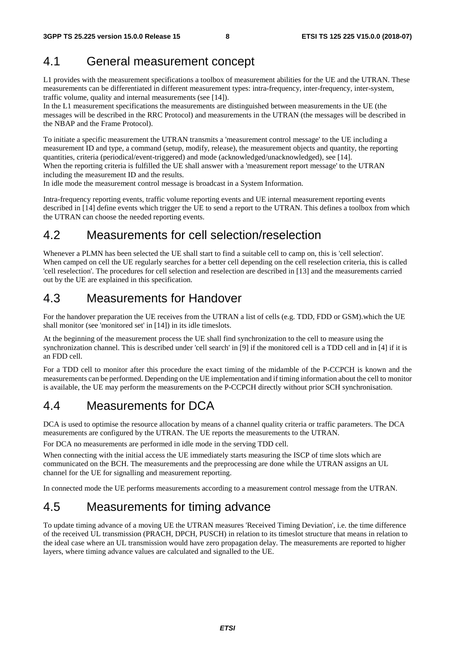#### 4.1 General measurement concept

L1 provides with the measurement specifications a toolbox of measurement abilities for the UE and the UTRAN. These measurements can be differentiated in different measurement types: intra-frequency, inter-frequency, inter-system, traffic volume, quality and internal measurements (see [14]).

In the L1 measurement specifications the measurements are distinguished between measurements in the UE (the messages will be described in the RRC Protocol) and measurements in the UTRAN (the messages will be described in the NBAP and the Frame Protocol).

To initiate a specific measurement the UTRAN transmits a 'measurement control message' to the UE including a measurement ID and type, a command (setup, modify, release), the measurement objects and quantity, the reporting quantities, criteria (periodical/event-triggered) and mode (acknowledged/unacknowledged), see [14]. When the reporting criteria is fulfilled the UE shall answer with a 'measurement report message' to the UTRAN including the measurement ID and the results.

In idle mode the measurement control message is broadcast in a System Information.

Intra-frequency reporting events, traffic volume reporting events and UE internal measurement reporting events described in [14] define events which trigger the UE to send a report to the UTRAN. This defines a toolbox from which the UTRAN can choose the needed reporting events.

#### 4.2 Measurements for cell selection/reselection

Whenever a PLMN has been selected the UE shall start to find a suitable cell to camp on, this is 'cell selection'. When camped on cell the UE regularly searches for a better cell depending on the cell reselection criteria, this is called 'cell reselection'. The procedures for cell selection and reselection are described in [13] and the measurements carried out by the UE are explained in this specification.

#### 4.3 Measurements for Handover

For the handover preparation the UE receives from the UTRAN a list of cells (e.g. TDD, FDD or GSM).which the UE shall monitor (see 'monitored set' in [14]) in its idle timeslots.

At the beginning of the measurement process the UE shall find synchronization to the cell to measure using the synchronization channel. This is described under 'cell search' in [9] if the monitored cell is a TDD cell and in [4] if it is an FDD cell.

For a TDD cell to monitor after this procedure the exact timing of the midamble of the P-CCPCH is known and the measurements can be performed. Depending on the UE implementation and if timing information about the cell to monitor is available, the UE may perform the measurements on the P-CCPCH directly without prior SCH synchronisation.

#### 4.4 Measurements for DCA

DCA is used to optimise the resource allocation by means of a channel quality criteria or traffic parameters. The DCA measurements are configured by the UTRAN. The UE reports the measurements to the UTRAN.

For DCA no measurements are performed in idle mode in the serving TDD cell.

When connecting with the initial access the UE immediately starts measuring the ISCP of time slots which are communicated on the BCH. The measurements and the preprocessing are done while the UTRAN assigns an UL channel for the UE for signalling and measurement reporting.

In connected mode the UE performs measurements according to a measurement control message from the UTRAN.

#### 4.5 Measurements for timing advance

To update timing advance of a moving UE the UTRAN measures 'Received Timing Deviation', i.e. the time difference of the received UL transmission (PRACH, DPCH, PUSCH) in relation to its timeslot structure that means in relation to the ideal case where an UL transmission would have zero propagation delay. The measurements are reported to higher layers, where timing advance values are calculated and signalled to the UE.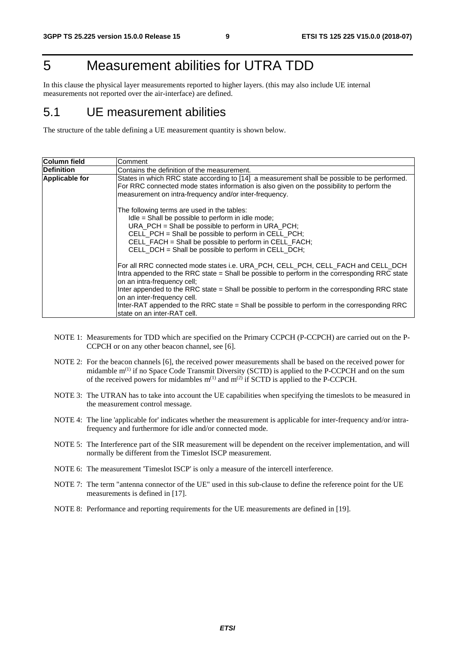# 5 Measurement abilities for UTRA TDD

In this clause the physical layer measurements reported to higher layers. (this may also include UE internal measurements not reported over the air-interface) are defined.

#### 5.1 UE measurement abilities

The structure of the table defining a UE measurement quantity is shown below.

| Column field          | Comment                                                                                                                                                                                                                                                                                                                                                                                                                                                                        |
|-----------------------|--------------------------------------------------------------------------------------------------------------------------------------------------------------------------------------------------------------------------------------------------------------------------------------------------------------------------------------------------------------------------------------------------------------------------------------------------------------------------------|
| <b>Definition</b>     | Contains the definition of the measurement.                                                                                                                                                                                                                                                                                                                                                                                                                                    |
| <b>Applicable for</b> | States in which RRC state according to [14] a measurement shall be possible to be performed.<br>For RRC connected mode states information is also given on the possibility to perform the<br>measurement on intra-frequency and/or inter-frequency.                                                                                                                                                                                                                            |
|                       | The following terms are used in the tables:<br>Idle = Shall be possible to perform in idle mode;<br>URA_PCH = Shall be possible to perform in URA_PCH;<br>CELL_PCH = Shall be possible to perform in CELL_PCH;<br>CELL_FACH = Shall be possible to perform in CELL_FACH;<br>CELL_DCH = Shall be possible to perform in CELL_DCH;                                                                                                                                               |
|                       | For all RRC connected mode states i.e. URA_PCH, CELL_PCH, CELL_FACH and CELL_DCH<br>Intra appended to the RRC state = Shall be possible to perform in the corresponding RRC state<br>on an intra-frequency cell;<br>Inter appended to the RRC state = Shall be possible to perform in the corresponding RRC state<br>on an inter-frequency cell.<br>Inter-RAT appended to the RRC state = Shall be possible to perform in the corresponding RRC<br>state on an inter-RAT cell. |

- NOTE 1: Measurements for TDD which are specified on the Primary CCPCH (P-CCPCH) are carried out on the P-CCPCH or on any other beacon channel, see [6].
- NOTE 2: For the beacon channels [6], the received power measurements shall be based on the received power for midamble m<sup>(1)</sup> if no Space Code Transmit Diversity (SCTD) is applied to the P-CCPCH and on the sum of the received powers for midambles  $m^{(1)}$  and  $m^{(2)}$  if SCTD is applied to the P-CCPCH.
- NOTE 3: The UTRAN has to take into account the UE capabilities when specifying the timeslots to be measured in the measurement control message.
- NOTE 4: The line 'applicable for' indicates whether the measurement is applicable for inter-frequency and/or intrafrequency and furthermore for idle and/or connected mode.
- NOTE 5: The Interference part of the SIR measurement will be dependent on the receiver implementation, and will normally be different from the Timeslot ISCP measurement.
- NOTE 6: The measurement 'Timeslot ISCP' is only a measure of the intercell interference.
- NOTE 7: The term "antenna connector of the UE" used in this sub-clause to define the reference point for the UE measurements is defined in [17].
- NOTE 8: Performance and reporting requirements for the UE measurements are defined in [19].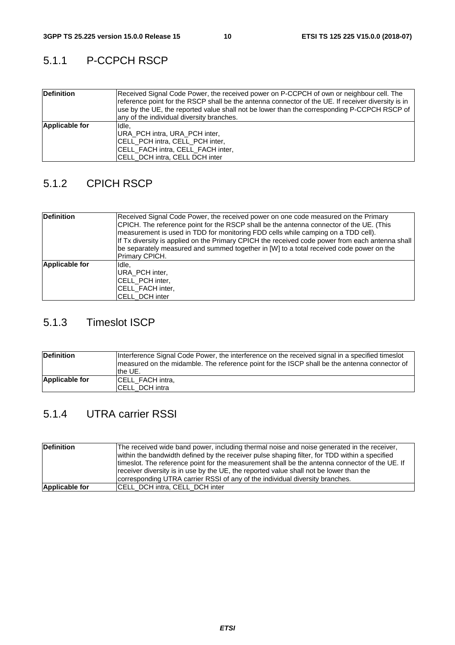#### 5.1.1 P-CCPCH RSCP

| <b>Definition</b> | Received Signal Code Power, the received power on P-CCPCH of own or neighbour cell. The<br>reference point for the RSCP shall be the antenna connector of the UE. If receiver diversity is in<br>use by the UE, the reported value shall not be lower than the corresponding P-CCPCH RSCP of<br>any of the individual diversity branches. |
|-------------------|-------------------------------------------------------------------------------------------------------------------------------------------------------------------------------------------------------------------------------------------------------------------------------------------------------------------------------------------|
| Applicable for    | Ildle.<br>URA PCH intra, URA PCH inter,<br><b>ICELL PCH intra, CELL PCH inter,</b><br><b>ICELL FACH intra, CELL FACH inter,</b><br>CELL_DCH intra, CELL DCH inter                                                                                                                                                                         |

#### 5.1.2 CPICH RSCP

| <b>Definition</b> | Received Signal Code Power, the received power on one code measured on the Primary<br>CPICH. The reference point for the RSCP shall be the antenna connector of the UE. (This<br>measurement is used in TDD for monitoring FDD cells while camping on a TDD cell).<br>If Tx diversity is applied on the Primary CPICH the received code power from each antenna shall<br>be separately measured and summed together in [W] to a total received code power on the<br>Primary CPICH. |
|-------------------|------------------------------------------------------------------------------------------------------------------------------------------------------------------------------------------------------------------------------------------------------------------------------------------------------------------------------------------------------------------------------------------------------------------------------------------------------------------------------------|
| Applicable for    | lldle.<br>IURA PCH inter.<br><b>CELL PCH inter,</b><br><b>CELL FACH inter,</b><br><b>CELL DCH inter</b>                                                                                                                                                                                                                                                                                                                                                                            |

#### 5.1.3 Timeslot ISCP

| <b>Definition</b> | Interference Signal Code Power, the interference on the received signal in a specified times ot<br>measured on the midamble. The reference point for the ISCP shall be the antenna connector of<br>the UE. |
|-------------------|------------------------------------------------------------------------------------------------------------------------------------------------------------------------------------------------------------|
| Applicable for    | <b>CELL FACH intra,</b><br>ICELL DCH intra                                                                                                                                                                 |

#### 5.1.4 UTRA carrier RSSI

| <b>Definition</b> | The received wide band power, including thermal noise and noise generated in the receiver,<br>within the bandwidth defined by the receiver pulse shaping filter, for TDD within a specified<br>timeslot. The reference point for the measurement shall be the antenna connector of the UE. If<br>receiver diversity is in use by the UE, the reported value shall not be lower than the<br>corresponding UTRA carrier RSSI of any of the individual diversity branches. |
|-------------------|-------------------------------------------------------------------------------------------------------------------------------------------------------------------------------------------------------------------------------------------------------------------------------------------------------------------------------------------------------------------------------------------------------------------------------------------------------------------------|
| Applicable for    | <b>ICELL DCH intra, CELL DCH inter</b>                                                                                                                                                                                                                                                                                                                                                                                                                                  |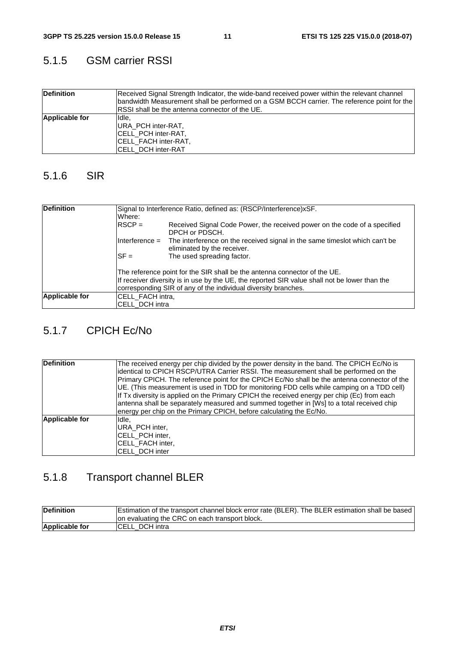#### 5.1.5 GSM carrier RSSI

| <b>Definition</b> | Received Signal Strength Indicator, the wide-band received power within the relevant channel<br>bandwidth Measurement shall be performed on a GSM BCCH carrier. The reference point for the<br><b>IRSSI</b> shall be the antenna connector of the UE. |
|-------------------|-------------------------------------------------------------------------------------------------------------------------------------------------------------------------------------------------------------------------------------------------------|
| Applicable for    | Ildle.<br>URA PCH inter-RAT,<br><b>CELL PCH inter-RAT,</b><br><b>ICELL FACH inter-RAT,</b><br><b>ICELL DCH inter-RAT</b>                                                                                                                              |

#### 5.1.6 SIR

| <b>Definition</b> | Where:                                                                                                                                                                                                                                       | Signal to Interference Ratio, defined as: (RSCP/Interference)xSF.                                          |  |
|-------------------|----------------------------------------------------------------------------------------------------------------------------------------------------------------------------------------------------------------------------------------------|------------------------------------------------------------------------------------------------------------|--|
|                   | $RSCP =$                                                                                                                                                                                                                                     | Received Signal Code Power, the received power on the code of a specified<br>DPCH or PDSCH.                |  |
|                   | $Interference =$                                                                                                                                                                                                                             | The interference on the received signal in the same times ot which can't be<br>eliminated by the receiver. |  |
|                   | $SF =$                                                                                                                                                                                                                                       | The used spreading factor.                                                                                 |  |
|                   | The reference point for the SIR shall be the antenna connector of the UE.<br>If receiver diversity is in use by the UE, the reported SIR value shall not be lower than the<br>corresponding SIR of any of the individual diversity branches. |                                                                                                            |  |
| Applicable for    | CELL_FACH intra,                                                                                                                                                                                                                             |                                                                                                            |  |
|                   | <b>ICELL DCH intra</b>                                                                                                                                                                                                                       |                                                                                                            |  |

#### 5.1.7 CPICH Ec/No

| <b>Definition</b> | The received energy per chip divided by the power density in the band. The CPICH Ec/No is<br>identical to CPICH RSCP/UTRA Carrier RSSI. The measurement shall be performed on the<br>Primary CPICH. The reference point for the CPICH Ec/No shall be the antenna connector of the<br>UE. (This measurement is used in TDD for monitoring FDD cells while camping on a TDD cell)<br>If Tx diversity is applied on the Primary CPICH the received energy per chip (Ec) from each<br>antenna shall be separately measured and summed together in [Ws] to a total received chip<br>energy per chip on the Primary CPICH, before calculating the Ec/No. |
|-------------------|----------------------------------------------------------------------------------------------------------------------------------------------------------------------------------------------------------------------------------------------------------------------------------------------------------------------------------------------------------------------------------------------------------------------------------------------------------------------------------------------------------------------------------------------------------------------------------------------------------------------------------------------------|
| Applicable for    | Idle,<br>IURA PCH inter,<br><b>CELL PCH inter,</b><br><b>CELL FACH inter,</b><br><b>CELL DCH inter</b>                                                                                                                                                                                                                                                                                                                                                                                                                                                                                                                                             |

# 5.1.8 Transport channel BLER

| <b>IDefinition</b>    | Estimation of the transport channel block error rate (BLER). The BLER estimation shall be based |
|-----------------------|-------------------------------------------------------------------------------------------------|
|                       | on evaluating the CRC on each transport block.                                                  |
| <b>Applicable for</b> | ICELL DCH intra                                                                                 |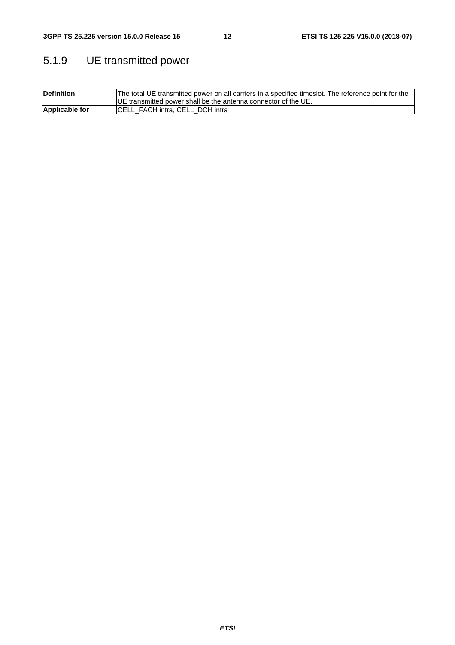# 5.1.9 UE transmitted power

| <b>Definition</b> | The total UE transmitted power on all carriers in a specified timeslot. The reference point for the |
|-------------------|-----------------------------------------------------------------------------------------------------|
|                   | IUE transmitted power shall be the antenna connector of the UE.                                     |
| Applicable for    | CELL_FACH intra, CELL_DCH intra                                                                     |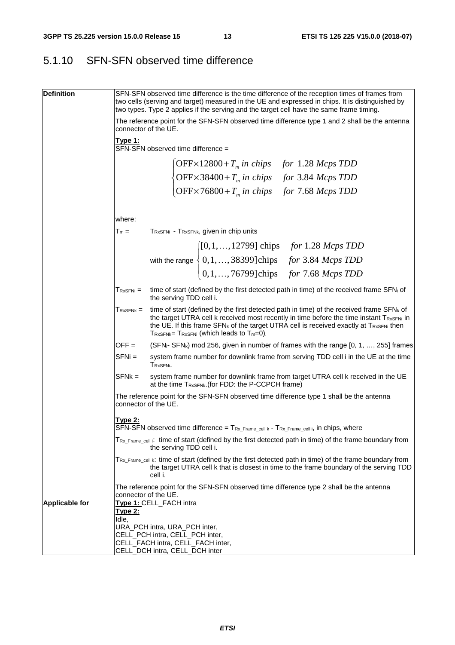### 5.1.10 SFN-SFN observed time difference

| <b>Definition</b>     |                      |                                                                  |                                                                                                                                                                                                                                                                                   | SFN-SFN observed time difference is the time difference of the reception times of frames from<br>two cells (serving and target) measured in the UE and expressed in chips. It is distinguished by<br>two types. Type 2 applies if the serving and the target cell have the same frame timing.             |
|-----------------------|----------------------|------------------------------------------------------------------|-----------------------------------------------------------------------------------------------------------------------------------------------------------------------------------------------------------------------------------------------------------------------------------|-----------------------------------------------------------------------------------------------------------------------------------------------------------------------------------------------------------------------------------------------------------------------------------------------------------|
|                       | connector of the UE. |                                                                  |                                                                                                                                                                                                                                                                                   | The reference point for the SFN-SFN observed time difference type 1 and 2 shall be the antenna                                                                                                                                                                                                            |
|                       | Type 1:              | SFN-SFN observed time difference =                               |                                                                                                                                                                                                                                                                                   |                                                                                                                                                                                                                                                                                                           |
|                       |                      |                                                                  |                                                                                                                                                                                                                                                                                   |                                                                                                                                                                                                                                                                                                           |
|                       |                      |                                                                  |                                                                                                                                                                                                                                                                                   |                                                                                                                                                                                                                                                                                                           |
|                       |                      |                                                                  | $\begin{cases} \text{OFF}\times 12800+T_m \text{ in chips} & \text{for } 1.28 \text{ Mcps TDD} \\ \text{OFF}\times 38400+T_m \text{ in chips} & \text{for } 3.84 \text{ Mcps TDD} \\ \text{OFF}\times 76800+T_m \text{ in chips} & \text{for } 7.68 \text{ Mcps TDD} \end{cases}$ |                                                                                                                                                                                                                                                                                                           |
|                       |                      |                                                                  |                                                                                                                                                                                                                                                                                   |                                                                                                                                                                                                                                                                                                           |
|                       | where:               |                                                                  |                                                                                                                                                                                                                                                                                   |                                                                                                                                                                                                                                                                                                           |
|                       | $T_m =$              |                                                                  | TRXSFNi - TRXSFNk, given in chip units                                                                                                                                                                                                                                            |                                                                                                                                                                                                                                                                                                           |
|                       |                      |                                                                  |                                                                                                                                                                                                                                                                                   | with the range $\begin{cases} [0,1,,12799] \text{ chips} & \text{for } 1.28 \text{ Mcps} \text{ TDD} \\ 0,1,,38399] \text{chips} & \text{for } 3.84 \text{ Mcps} \text{ TDD} \\ 0,1,,76799] \text{chips} & \text{for } 7.68 \text{ Mcps} \text{ TDD} \end{cases}$                                         |
|                       |                      |                                                                  |                                                                                                                                                                                                                                                                                   |                                                                                                                                                                                                                                                                                                           |
|                       |                      |                                                                  |                                                                                                                                                                                                                                                                                   |                                                                                                                                                                                                                                                                                                           |
|                       | $T_{RxSFNi} =$       | the serving TDD cell i.                                          |                                                                                                                                                                                                                                                                                   | time of start (defined by the first detected path in time) of the received frame SFN; of                                                                                                                                                                                                                  |
|                       | $T_{RxSFNk} =$       |                                                                  | $T_{RxSFNk}$ = $T_{RxSFNi}$ (which leads to $T_m=0$ ).                                                                                                                                                                                                                            | time of start (defined by the first detected path in time) of the received frame $SFN_k$ of<br>the target UTRA cell k received most recently in time before the time instant T <sub>RxSFNi</sub> in<br>the UE. If this frame SFN <sub>k</sub> of the target UTRA cell is received exactly at TRXSFNi then |
|                       | $OFF =$              |                                                                  |                                                                                                                                                                                                                                                                                   | (SFN <sub>i</sub> - SFN <sub>k</sub> ) mod 256, given in number of frames with the range [0, 1, , 255] frames                                                                                                                                                                                             |
|                       | $SFNi =$             | TRxSFNi.                                                         |                                                                                                                                                                                                                                                                                   | system frame number for downlink frame from serving TDD cell i in the UE at the time                                                                                                                                                                                                                      |
|                       | $SFNk =$             |                                                                  | at the time TRXSFNk. (for FDD: the P-CCPCH frame)                                                                                                                                                                                                                                 | system frame number for downlink frame from target UTRA cell k received in the UE                                                                                                                                                                                                                         |
|                       | connector of the UE. |                                                                  |                                                                                                                                                                                                                                                                                   | The reference point for the SFN-SFN observed time difference type 1 shall be the antenna                                                                                                                                                                                                                  |
|                       | <u> Type 2:</u>      |                                                                  | SFN-SFN observed time difference = TRx_Frame_cell k - TRx_Frame_cell i, in chips, where                                                                                                                                                                                           |                                                                                                                                                                                                                                                                                                           |
|                       |                      | the serving TDD cell i.                                          |                                                                                                                                                                                                                                                                                   | $T_{Rx\_Frame\_cell}$ : time of start (defined by the first detected path in time) of the frame boundary from                                                                                                                                                                                             |
|                       |                      | cell i.                                                          |                                                                                                                                                                                                                                                                                   | $T_{Rx}$ Frame cell k: time of start (defined by the first detected path in time) of the frame boundary from<br>the target UTRA cell k that is closest in time to the frame boundary of the serving TDD                                                                                                   |
|                       | connector of the UE. |                                                                  |                                                                                                                                                                                                                                                                                   | The reference point for the SFN-SFN observed time difference type 2 shall be the antenna                                                                                                                                                                                                                  |
| <b>Applicable for</b> | <u> Type 2:</u>      | Type 1: CELL_FACH intra                                          |                                                                                                                                                                                                                                                                                   |                                                                                                                                                                                                                                                                                                           |
|                       | Idle,                |                                                                  |                                                                                                                                                                                                                                                                                   |                                                                                                                                                                                                                                                                                                           |
|                       |                      | URA_PCH intra, URA_PCH inter,<br>CELL_PCH intra, CELL_PCH inter, |                                                                                                                                                                                                                                                                                   |                                                                                                                                                                                                                                                                                                           |
|                       |                      | CELL_FACH intra, CELL_FACH inter,                                |                                                                                                                                                                                                                                                                                   |                                                                                                                                                                                                                                                                                                           |
|                       |                      | CELL_DCH intra, CELL_DCH inter                                   |                                                                                                                                                                                                                                                                                   |                                                                                                                                                                                                                                                                                                           |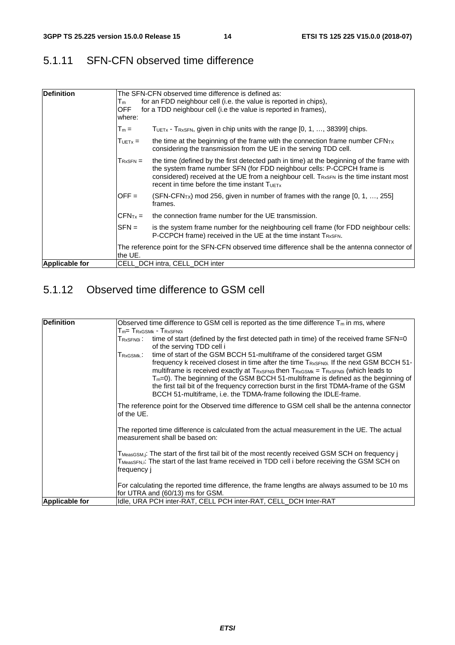#### 5.1.11 SFN-CFN observed time difference

| <b>Definition</b>     | Tm<br><b>OFF</b><br>where:                   | The SFN-CFN observed time difference is defined as:<br>for an FDD neighbour cell (i.e. the value is reported in chips),<br>for a TDD neighbour cell (i.e the value is reported in frames),                                                                                                                                          |
|-----------------------|----------------------------------------------|-------------------------------------------------------------------------------------------------------------------------------------------------------------------------------------------------------------------------------------------------------------------------------------------------------------------------------------|
|                       | $T_m =$                                      | TUET <sub>x</sub> - T <sub>RxSFN</sub> , given in chip units with the range $[0, 1, , 38399]$ chips.                                                                                                                                                                                                                                |
|                       | $T_{UETx} =$                                 | the time at the beginning of the frame with the connection frame number $CFN_{TX}$<br>considering the transmission from the UE in the serving TDD cell.                                                                                                                                                                             |
|                       | $T_{RxSFN} =$                                | the time (defined by the first detected path in time) at the beginning of the frame with<br>the system frame number SFN (for FDD neighbour cells: P-CCPCH frame is<br>considered) received at the UE from a neighbour cell. T <sub>RxSFN</sub> is the time instant most<br>recent in time before the time instant $T_{\text{UETx}}$ |
|                       | $OFF =$                                      | (SFN-CFN <sub>TX</sub> ) mod 256, given in number of frames with the range [0, 1, , 255]<br>frames.                                                                                                                                                                                                                                 |
|                       | $ICFNTx =$                                   | the connection frame number for the UE transmission.                                                                                                                                                                                                                                                                                |
|                       | $\mathsf{I}\mathsf{S}\mathsf{F}\mathsf{N}=1$ | is the system frame number for the neighbouring cell frame (for FDD neighbour cells:<br>P-CCPCH frame) received in the UE at the time instant TRxSFN.                                                                                                                                                                               |
|                       | the UE.                                      | The reference point for the SFN-CFN observed time difference shall be the antenna connector of                                                                                                                                                                                                                                      |
| <b>Applicable for</b> |                                              | CELL DCH intra, CELL DCH inter                                                                                                                                                                                                                                                                                                      |

### 5.1.12 Observed time difference to GSM cell

| Definition            | Observed time difference to GSM cell is reported as the time difference $T_m$ in ms, where                                                                                                                                                                                                                                                                                                                                                                                                                                                                    |  |  |  |
|-----------------------|---------------------------------------------------------------------------------------------------------------------------------------------------------------------------------------------------------------------------------------------------------------------------------------------------------------------------------------------------------------------------------------------------------------------------------------------------------------------------------------------------------------------------------------------------------------|--|--|--|
|                       | $T_m$ = $T_{\tiny\rm{RxGSMk}}$ - $T_{\tiny\rm{RxSFNi}}$                                                                                                                                                                                                                                                                                                                                                                                                                                                                                                       |  |  |  |
|                       | time of start (defined by the first detected path in time) of the received frame SFN=0<br>${\sf T}_{\sf RxSFN0i}$ :<br>of the serving TDD cell i                                                                                                                                                                                                                                                                                                                                                                                                              |  |  |  |
|                       | time of start of the GSM BCCH 51-multiframe of the considered target GSM<br>${\sf Tr}$ xgsmk $\colon$<br>frequency k received closest in time after the time TRxSFN0i. If the next GSM BCCH 51-<br>multiframe is received exactly at $T_{RxSFN0i}$ then $T_{RxSKNk}$ = $T_{RxSFN0i}$ (which leads to<br>$T_m=0$ ). The beginning of the GSM BCCH 51-multiframe is defined as the beginning of<br>the first tail bit of the frequency correction burst in the first TDMA-frame of the GSM<br>BCCH 51-multiframe, i.e. the TDMA-frame following the IDLE-frame. |  |  |  |
|                       | The reference point for the Observed time difference to GSM cell shall be the antenna connector<br>of the UE.                                                                                                                                                                                                                                                                                                                                                                                                                                                 |  |  |  |
|                       | The reported time difference is calculated from the actual measurement in the UE. The actual<br>measurement shall be based on:                                                                                                                                                                                                                                                                                                                                                                                                                                |  |  |  |
|                       | T <sub>MeasGSM,j</sub> : The start of the first tail bit of the most recently received GSM SCH on frequency j<br>T <sub>MeasSFN,i</sub> : The start of the last frame received in TDD cell i before receiving the GSM SCH on<br>frequency j                                                                                                                                                                                                                                                                                                                   |  |  |  |
|                       | For calculating the reported time difference, the frame lengths are always assumed to be 10 ms<br>for UTRA and (60/13) ms for GSM.                                                                                                                                                                                                                                                                                                                                                                                                                            |  |  |  |
| <b>Applicable for</b> | Idle, URA PCH inter-RAT, CELL PCH inter-RAT, CELL_DCH Inter-RAT                                                                                                                                                                                                                                                                                                                                                                                                                                                                                               |  |  |  |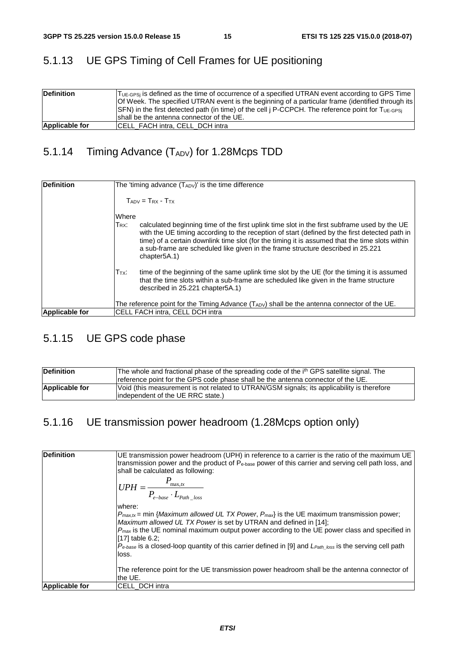### 5.1.13 UE GPS Timing of Cell Frames for UE positioning

| <b>Definition</b> | T <sub>UE-GPSi</sub> is defined as the time of occurrence of a specified UTRAN event according to GPS Time<br>Of Week. The specified UTRAN event is the beginning of a particular frame (identified through its<br>$ SFN $ in the first detected path (in time) of the cell $ P\text{-CCPCH} $ . The reference point for Tue-gps<br>shall be the antenna connector of the UE. |
|-------------------|-------------------------------------------------------------------------------------------------------------------------------------------------------------------------------------------------------------------------------------------------------------------------------------------------------------------------------------------------------------------------------|
| Applicable for    | <b>ICELL FACH intra, CELL DCH intra</b>                                                                                                                                                                                                                                                                                                                                       |

### 5.1.14 Timing Advance (TADV) for 1.28Mcps TDD

| <b>Definition</b>     | The 'timing advance $(T_{ADV})'$ is the time difference                                                                                                                                                                                                                                                                                                                                                                       |
|-----------------------|-------------------------------------------------------------------------------------------------------------------------------------------------------------------------------------------------------------------------------------------------------------------------------------------------------------------------------------------------------------------------------------------------------------------------------|
|                       | $T_{ADV} = T_{RX} - T_{TX}$                                                                                                                                                                                                                                                                                                                                                                                                   |
|                       | Where                                                                                                                                                                                                                                                                                                                                                                                                                         |
|                       | $T_{RX}$ :<br>calculated beginning time of the first uplink time slot in the first subframe used by the UE<br>with the UE timing according to the reception of start (defined by the first detected path in<br>time) of a certain downlink time slot (for the timing it is assumed that the time slots within<br>a sub-frame are scheduled like given in the frame structure described in 25.221<br>chapter <sub>5A.1</sub> ) |
|                       | time of the beginning of the same uplink time slot by the UE (for the timing it is assumed<br>$T_{\mathsf{TX}}$ :<br>that the time slots within a sub-frame are scheduled like given in the frame structure<br>described in 25.221 chapter 5A.1)                                                                                                                                                                              |
|                       | The reference point for the Timing Advance (TADV) shall be the antenna connector of the UE.                                                                                                                                                                                                                                                                                                                                   |
| <b>Applicable for</b> | CELL FACH intra. CELL DCH intra                                                                                                                                                                                                                                                                                                                                                                                               |

#### 5.1.15 UE GPS code phase

| <b>Definition</b> | The whole and fractional phase of the spreading code of the i <sup>th</sup> GPS satellite signal. The<br>reference point for the GPS code phase shall be the antenna connector of the UE. |
|-------------------|-------------------------------------------------------------------------------------------------------------------------------------------------------------------------------------------|
| Applicable for    | Void (this measurement is not related to UTRAN/GSM signals; its applicability is therefore<br>lindependent of the UE RRC state.)                                                          |

### 5.1.16 UE transmission power headroom (1.28Mcps option only)

| <b>Definition</b>     | UE transmission power headroom (UPH) in reference to a carrier is the ratio of the maximum UE<br>transmission power and the product of $P_{\text{e-base}}$ power of this carrier and serving cell path loss, and<br>shall be calculated as following:<br>$UPH = \frac{P_{\text{max},tx}}{P_{e\text{-base}} \cdot L_{Path \; loss}}$<br>where:<br>$ P_{max,tx}$ = min { <i>Maximum allowed UL TX Power, <math>P_{max}</math></i> is the UE maximum transmission power;<br>Maximum allowed UL TX Power is set by UTRAN and defined in [14]; |
|-----------------------|-------------------------------------------------------------------------------------------------------------------------------------------------------------------------------------------------------------------------------------------------------------------------------------------------------------------------------------------------------------------------------------------------------------------------------------------------------------------------------------------------------------------------------------------|
|                       | $P_{max}$ is the UE nominal maximum output power according to the UE power class and specified in<br>$[17]$ table 6.2;<br>$P_{e-base}$ is a closed-loop quantity of this carrier defined in [9] and $L_{Path\_loss}$ is the serving cell path<br>loss.                                                                                                                                                                                                                                                                                    |
|                       | The reference point for the UE transmission power headroom shall be the antenna connector of<br>the UE.                                                                                                                                                                                                                                                                                                                                                                                                                                   |
| <b>Applicable for</b> | <b>CELL DCH intra</b>                                                                                                                                                                                                                                                                                                                                                                                                                                                                                                                     |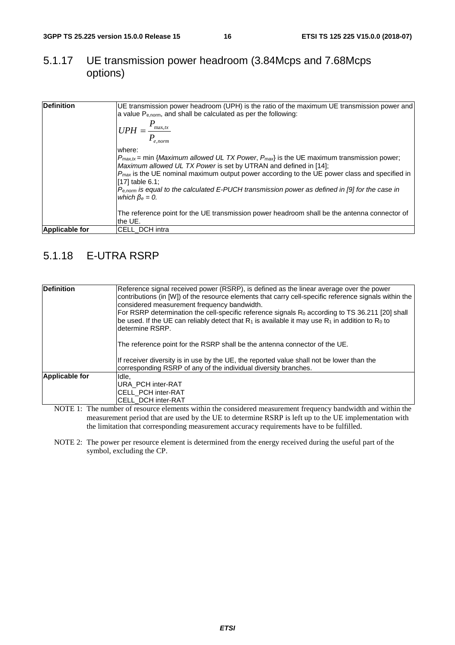#### 5.1.17 UE transmission power headroom (3.84Mcps and 7.68Mcps options)

| <b>Definition</b>     | [UE transmission power headroom (UPH) is the ratio of the maximum UE transmission power and<br>a value P <sub>enorm</sub> , and shall be calculated as per the following:                   |
|-----------------------|---------------------------------------------------------------------------------------------------------------------------------------------------------------------------------------------|
|                       | $ UPH = \frac{P_{\max,tx}}{P}$<br>$e,norm$                                                                                                                                                  |
|                       | where:                                                                                                                                                                                      |
|                       | $P_{\text{max}.tx}$ = min { <i>Maximum allowed UL TX Power, P<sub>max</sub></i> } is the UE maximum transmission power;<br>Maximum allowed UL TX Power is set by UTRAN and defined in [14]; |
|                       | $Pmax$ is the UE nominal maximum output power according to the UE power class and specified in<br>[17] table 6.1;                                                                           |
|                       | $P_{e,norm}$ is equal to the calculated E-PUCH transmission power as defined in [9] for the case in<br>which $\beta_e = 0$ .                                                                |
|                       | The reference point for the UE transmission power headroom shall be the antenna connector of<br>the UE.                                                                                     |
| <b>Applicable for</b> | ICELL DCH intra                                                                                                                                                                             |

#### 5.1.18 E-UTRA RSRP

| Definition<br>Reference signal received power (RSRP), is defined as the linear average over the power<br>contributions (in [W]) of the resource elements that carry cell-specific reference signals within the<br>considered measurement frequency bandwidth.<br>For RSRP determination the cell-specific reference signals R <sub>0</sub> according to TS 36.211 [20] shall<br>be used. If the UE can reliably detect that $R_1$ is available it may use $R_1$ in addition to $R_0$ to<br>ldetermine RSRP. |  |
|-------------------------------------------------------------------------------------------------------------------------------------------------------------------------------------------------------------------------------------------------------------------------------------------------------------------------------------------------------------------------------------------------------------------------------------------------------------------------------------------------------------|--|
| The reference point for the RSRP shall be the antenna connector of the UE.                                                                                                                                                                                                                                                                                                                                                                                                                                  |  |
| If receiver diversity is in use by the UE, the reported value shall not be lower than the<br>corresponding RSRP of any of the individual diversity branches.                                                                                                                                                                                                                                                                                                                                                |  |
| Applicable for<br>Idle.                                                                                                                                                                                                                                                                                                                                                                                                                                                                                     |  |
| IURA PCH inter-RAT                                                                                                                                                                                                                                                                                                                                                                                                                                                                                          |  |
| ICELL PCH inter-RAT                                                                                                                                                                                                                                                                                                                                                                                                                                                                                         |  |
| ICELL DCH inter-RAT                                                                                                                                                                                                                                                                                                                                                                                                                                                                                         |  |

NOTE 1: The number of resource elements within the considered measurement frequency bandwidth and within the measurement period that are used by the UE to determine RSRP is left up to the UE implementation with the limitation that corresponding measurement accuracy requirements have to be fulfilled.

NOTE 2: The power per resource element is determined from the energy received during the useful part of the symbol, excluding the CP.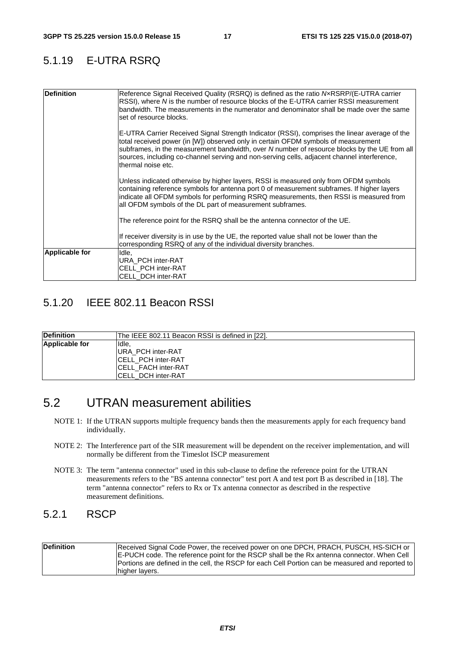#### 5.1.19 E-UTRA RSRQ

| <b>Definition</b>     | Reference Signal Received Quality (RSRQ) is defined as the ratio NxRSRP/(E-UTRA carrier<br>RSSI), where N is the number of resource blocks of the E-UTRA carrier RSSI measurement<br>bandwidth. The measurements in the numerator and denominator shall be made over the same<br>set of resource blocks.                                                                                                 |
|-----------------------|----------------------------------------------------------------------------------------------------------------------------------------------------------------------------------------------------------------------------------------------------------------------------------------------------------------------------------------------------------------------------------------------------------|
|                       | E-UTRA Carrier Received Signal Strength Indicator (RSSI), comprises the linear average of the<br>total received power (in [W]) observed only in certain OFDM symbols of measurement<br>subframes, in the measurement bandwidth, over N number of resource blocks by the UE from all<br>sources, including co-channel serving and non-serving cells, adjacent channel interference,<br>thermal noise etc. |
|                       | Unless indicated otherwise by higher layers, RSSI is measured only from OFDM symbols<br>containing reference symbols for antenna port 0 of measurement subframes. If higher layers<br>indicate all OFDM symbols for performing RSRQ measurements, then RSSI is measured from<br>all OFDM symbols of the DL part of measurement subframes.                                                                |
|                       | The reference point for the RSRQ shall be the antenna connector of the UE.                                                                                                                                                                                                                                                                                                                               |
|                       | If receiver diversity is in use by the UE, the reported value shall not be lower than the<br>corresponding RSRQ of any of the individual diversity branches.                                                                                                                                                                                                                                             |
| <b>Applicable for</b> | Idle,<br><b>URA PCH inter-RAT</b><br><b>CELL PCH inter-RAT</b><br><b>CELL DCH inter-RAT</b>                                                                                                                                                                                                                                                                                                              |

#### 5.1.20 IEEE 802.11 Beacon RSSI

| <b>Definition</b> | IThe IEEE 802.11 Beacon RSSI is defined in [22]. |
|-------------------|--------------------------------------------------|
| Applicable for    | Ildle.                                           |
|                   | <b>IURA PCH inter-RAT</b>                        |
|                   | ICELL PCH inter-RAT                              |
|                   | ICELL FACH inter-RAT                             |
|                   | ICELL DCH inter-RAT                              |

# 5.2 UTRAN measurement abilities

- NOTE 1: If the UTRAN supports multiple frequency bands then the measurements apply for each frequency band individually.
- NOTE 2: The Interference part of the SIR measurement will be dependent on the receiver implementation, and will normally be different from the Timeslot ISCP measurement
- NOTE 3: The term "antenna connector" used in this sub-clause to define the reference point for the UTRAN measurements refers to the "BS antenna connector" test port A and test port B as described in [18]. The term "antenna connector" refers to Rx or Tx antenna connector as described in the respective measurement definitions.

#### 5.2.1 RSCP

| Definition | Received Signal Code Power, the received power on one DPCH, PRACH, PUSCH, HS-SICH or<br>E-PUCH code. The reference point for the RSCP shall be the Rx antenna connector. When Cell |
|------------|------------------------------------------------------------------------------------------------------------------------------------------------------------------------------------|
|            | Portions are defined in the cell, the RSCP for each Cell Portion can be measured and reported to                                                                                   |
|            | higher layers.                                                                                                                                                                     |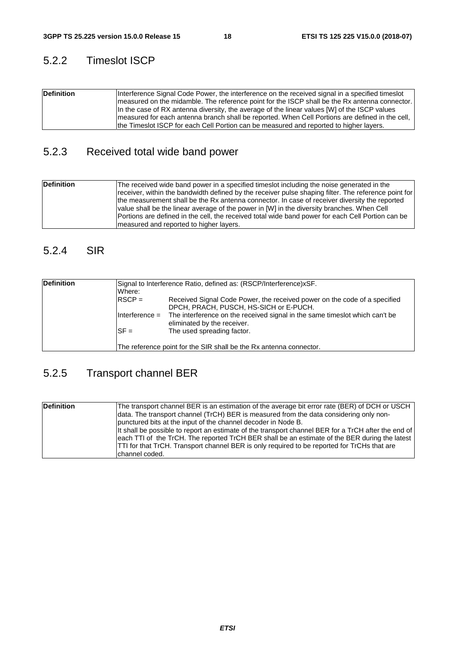#### 5.2.2 Timeslot ISCP

| <b>Definition</b> | Interference Signal Code Power, the interference on the received signal in a specified times ot<br>Imeasured on the midamble. The reference point for the ISCP shall be the Rx antenna connector.<br>In the case of RX antenna diversity, the average of the linear values $[W]$ of the ISCP values |
|-------------------|-----------------------------------------------------------------------------------------------------------------------------------------------------------------------------------------------------------------------------------------------------------------------------------------------------|
|                   | Imeasured for each antenna branch shall be reported. When Cell Portions are defined in the cell,<br>the Timeslot ISCP for each Cell Portion can be measured and reported to higher layers.                                                                                                          |
|                   |                                                                                                                                                                                                                                                                                                     |

### 5.2.3 Received total wide band power

| <b>Definition</b> | The received wide band power in a specified timeslot including the noise generated in the<br>receiver, within the bandwidth defined by the receiver pulse shaping filter. The reference point for<br>the measurement shall be the Rx antenna connector. In case of receiver diversity the reported<br>value shall be the linear average of the power in [W] in the diversity branches. When Cell<br>Portions are defined in the cell, the received total wide band power for each Cell Portion can be<br>Imeasured and reported to higher layers. |
|-------------------|---------------------------------------------------------------------------------------------------------------------------------------------------------------------------------------------------------------------------------------------------------------------------------------------------------------------------------------------------------------------------------------------------------------------------------------------------------------------------------------------------------------------------------------------------|
|-------------------|---------------------------------------------------------------------------------------------------------------------------------------------------------------------------------------------------------------------------------------------------------------------------------------------------------------------------------------------------------------------------------------------------------------------------------------------------------------------------------------------------------------------------------------------------|

#### 5.2.4 SIR

| <b>Definition</b> | Where:           | Signal to Interference Ratio, defined as: (RSCP/Interference)xSF.                                                   |
|-------------------|------------------|---------------------------------------------------------------------------------------------------------------------|
|                   | $RSCP =$         | Received Signal Code Power, the received power on the code of a specified<br>DPCH, PRACH, PUSCH, HS-SICH or E-PUCH. |
|                   | $Interference =$ | The interference on the received signal in the same times ot which can't be<br>eliminated by the receiver.          |
|                   | $SF =$           | The used spreading factor.                                                                                          |
|                   |                  | The reference point for the SIR shall be the Rx antenna connector.                                                  |

### 5.2.5 Transport channel BER

| <b>Definition</b> | The transport channel BER is an estimation of the average bit error rate (BER) of DCH or USCH<br>data. The transport channel (TrCH) BER is measured from the data considering only non-<br>punctured bits at the input of the channel decoder in Node B.<br>It shall be possible to report an estimate of the transport channel BER for a TrCH after the end of<br>each TTI of the TrCH. The reported TrCH BER shall be an estimate of the BER during the latest<br><b>TTI</b> for that TrCH. Transport channel BER is only required to be reported for TrCHs that are |
|-------------------|------------------------------------------------------------------------------------------------------------------------------------------------------------------------------------------------------------------------------------------------------------------------------------------------------------------------------------------------------------------------------------------------------------------------------------------------------------------------------------------------------------------------------------------------------------------------|
|                   | Ichannel coded.                                                                                                                                                                                                                                                                                                                                                                                                                                                                                                                                                        |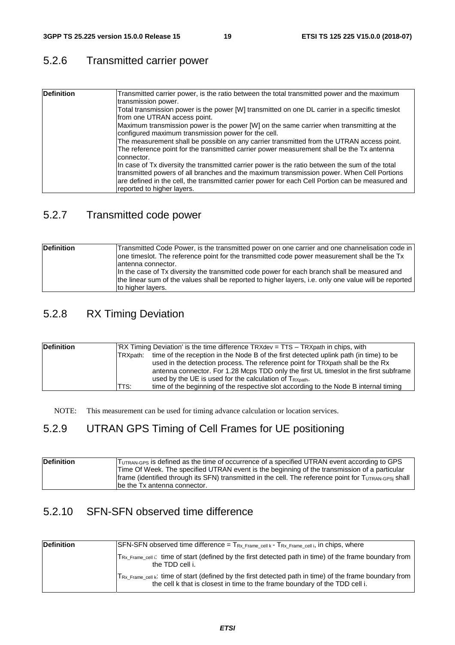#### 5.2.6 Transmitted carrier power

| <b>Definition</b> | Transmitted carrier power, is the ratio between the total transmitted power and the maximum<br>transmission power.                                                                                                                                                                                                             |
|-------------------|--------------------------------------------------------------------------------------------------------------------------------------------------------------------------------------------------------------------------------------------------------------------------------------------------------------------------------|
|                   | Total transmission power is the power [W] transmitted on one DL carrier in a specific timeslot<br>from one UTRAN access point.                                                                                                                                                                                                 |
|                   | Maximum transmission power is the power [W] on the same carrier when transmitting at the<br>configured maximum transmission power for the cell.                                                                                                                                                                                |
|                   | The measurement shall be possible on any carrier transmitted from the UTRAN access point.<br>The reference point for the transmitted carrier power measurement shall be the Tx antenna<br>connector.                                                                                                                           |
|                   | In case of Tx diversity the transmitted carrier power is the ratio between the sum of the total<br>transmitted powers of all branches and the maximum transmission power. When Cell Portions<br>are defined in the cell, the transmitted carrier power for each Cell Portion can be measured and<br>reported to higher layers. |

#### 5.2.7 Transmitted code power

| Definition | Transmitted Code Power, is the transmitted power on one carrier and one channelisation code in  <br>one timeslot. The reference point for the transmitted code power measurement shall be the Tx<br>lantenna connector.    |
|------------|----------------------------------------------------------------------------------------------------------------------------------------------------------------------------------------------------------------------------|
|            | In the case of Tx diversity the transmitted code power for each branch shall be measured and<br>the linear sum of the values shall be reported to higher layers, i.e. only one value will be reported<br>to higher layers. |

#### 5.2.8 RX Timing Deviation

| <b>Definition</b> | ITRXpath: | "IRX Timing Deviation' is the time difference TRXdev = TTS - TRXpath in chips, with<br>time of the reception in the Node B of the first detected uplink path (in time) to be<br>used in the detection process. The reference point for TRXpath shall be the Rx<br>antenna connector. For 1.28 Mcps TDD only the first UL timeslot in the first subframe<br>used by the UE is used for the calculation of $T_{\text{RXpath}}$ . |
|-------------------|-----------|--------------------------------------------------------------------------------------------------------------------------------------------------------------------------------------------------------------------------------------------------------------------------------------------------------------------------------------------------------------------------------------------------------------------------------|
|                   | TTS:      | time of the beginning of the respective slot according to the Node B internal timing                                                                                                                                                                                                                                                                                                                                           |

NOTE: This measurement can be used for timing advance calculation or location services.

#### 5.2.9 UTRAN GPS Timing of Cell Frames for UE positioning

| <b>Definition</b> | TUTRAN-GPS is defined as the time of occurrence of a specified UTRAN event according to GPS            |
|-------------------|--------------------------------------------------------------------------------------------------------|
|                   | Time Of Week. The specified UTRAN event is the beginning of the transmission of a particular           |
|                   | Iframe (identified through its SFN) transmitted in the cell. The reference point for TUTRAN-GPSi shall |
|                   | be the Tx antenna connector.                                                                           |

#### 5.2.10 SFN-SFN observed time difference

| <b>Definition</b> | $\textsf{SFN}\text{-}\textsf{SFN}$ observed time difference = $\textsf{T}_{\textsf{Rx\_Frame\_cell}}$ k - $\textsf{T}_{\textsf{Rx\_Frame\_cell}}$ i, in chips, where                                 |
|-------------------|------------------------------------------------------------------------------------------------------------------------------------------------------------------------------------------------------|
|                   | $ T_{Rx}$ Frame cell i: time of start (defined by the first detected path in time) of the frame boundary from<br>the TDD cell i.                                                                     |
|                   | $ T_{Rx\_Frame\_cell} \kappa$ : time of start (defined by the first detected path in time) of the frame boundary from<br>the cell k that is closest in time to the frame boundary of the TDD cell i. |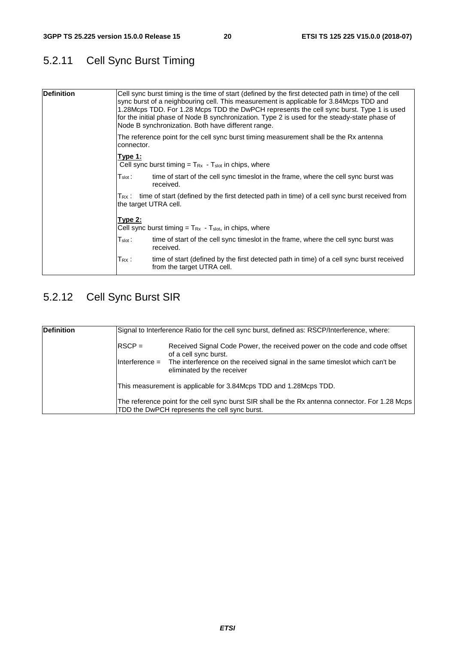### 5.2.11 Cell Sync Burst Timing

| <b>Definition</b>                                                                                    | Cell sync burst timing is the time of start (defined by the first detected path in time) of the cell<br>sync burst of a neighbouring cell. This measurement is applicable for 3.84Mcps TDD and<br>1.28Mcps TDD. For 1.28 Mcps TDD the DwPCH represents the cell sync burst. Type 1 is used<br>for the initial phase of Node B synchronization. Type 2 is used for the steady-state phase of<br>Node B synchronization. Both have different range. |
|------------------------------------------------------------------------------------------------------|---------------------------------------------------------------------------------------------------------------------------------------------------------------------------------------------------------------------------------------------------------------------------------------------------------------------------------------------------------------------------------------------------------------------------------------------------|
| The reference point for the cell sync burst timing measurement shall be the Rx antenna<br>connector. |                                                                                                                                                                                                                                                                                                                                                                                                                                                   |
|                                                                                                      | Type 1:<br>Cell sync burst timing = $T_{Rx}$ - $T_{slot}$ in chips, where                                                                                                                                                                                                                                                                                                                                                                         |
|                                                                                                      | time of start of the cell sync timeslot in the frame, where the cell sync burst was<br>$\mathsf{T}_{\mathsf{slot}}$ :<br>received.                                                                                                                                                                                                                                                                                                                |
|                                                                                                      | $T_{RX}$ : time of start (defined by the first detected path in time) of a cell sync burst received from<br>the target UTRA cell.                                                                                                                                                                                                                                                                                                                 |
|                                                                                                      | Type 2:<br>Cell sync burst timing $=$ T <sub>Rx</sub> - T <sub>slot</sub> , in chips, where                                                                                                                                                                                                                                                                                                                                                       |
|                                                                                                      | time of start of the cell sync timeslot in the frame, where the cell sync burst was<br>$\mathsf{T}_{\mathsf{slot}}$ :<br>received.                                                                                                                                                                                                                                                                                                                |
|                                                                                                      | time of start (defined by the first detected path in time) of a cell sync burst received<br>$\mathsf{T}_{\mathsf{R}}$ x :<br>from the target UTRA cell.                                                                                                                                                                                                                                                                                           |

# 5.2.12 Cell Sync Burst SIR

| <b>Definition</b> |                  | Signal to Interference Ratio for the cell sync burst, defined as: RSCP/Interference, where:                                                       |  |  |
|-------------------|------------------|---------------------------------------------------------------------------------------------------------------------------------------------------|--|--|
|                   | $RSCP =$         | Received Signal Code Power, the received power on the code and code offset<br>of a cell sync burst.                                               |  |  |
|                   | $Interference =$ | The interference on the received signal in the same times ot which can't be<br>eliminated by the receiver                                         |  |  |
|                   |                  | This measurement is applicable for 3.84Mcps TDD and 1.28Mcps TDD.                                                                                 |  |  |
|                   |                  | The reference point for the cell sync burst SIR shall be the Rx antenna connector. For 1.28 Mcps<br>TDD the DwPCH represents the cell sync burst. |  |  |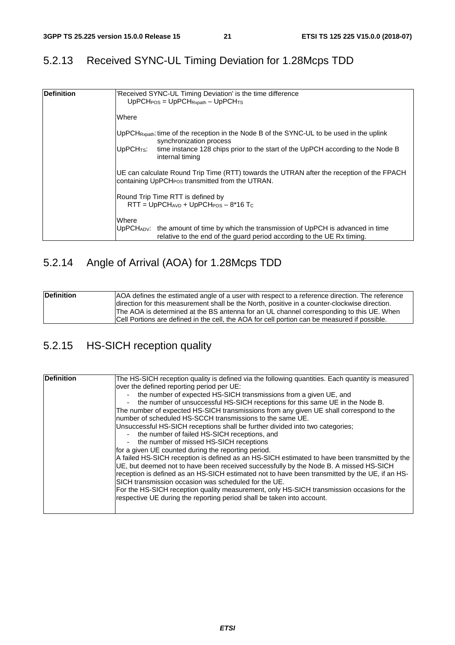### 5.2.13 Received SYNC-UL Timing Deviation for 1.28Mcps TDD

| <b>IDefinition</b> | 'Received SYNC-UL Timing Deviation' is the time difference<br>$UpPCHPOS = UpPCHRxpath - UpPCHTS$                                                                             |  |  |  |  |
|--------------------|------------------------------------------------------------------------------------------------------------------------------------------------------------------------------|--|--|--|--|
|                    | Where                                                                                                                                                                        |  |  |  |  |
|                    | UpPCH <sub>Rxpath</sub> : time of the reception in the Node B of the SYNC-UL to be used in the uplink<br>synchronization process                                             |  |  |  |  |
|                    | UpPCH <sub>TS</sub> : time instance 128 chips prior to the start of the UpPCH according to the Node B<br>internal timing                                                     |  |  |  |  |
|                    | UE can calculate Round Trip Time (RTT) towards the UTRAN after the reception of the FPACH<br>containing UpPCH <sub>POS</sub> transmitted from the UTRAN.                     |  |  |  |  |
|                    | Round Trip Time RTT is defined by<br>$RTT = UpPCHAVD + UpPCHPOS - 8*16 TC$                                                                                                   |  |  |  |  |
|                    | Where<br>$UpPCH_{ADV}$ : the amount of time by which the transmission of UpPCH is advanced in time<br>relative to the end of the guard period according to the UE Rx timing. |  |  |  |  |

### 5.2.14 Angle of Arrival (AOA) for 1.28Mcps TDD

| <b>Definition</b> | AOA defines the estimated angle of a user with respect to a reference direction. The reference |
|-------------------|------------------------------------------------------------------------------------------------|
|                   | direction for this measurement shall be the North, positive in a counter-clockwise direction.  |
|                   | The AOA is determined at the BS antenna for an UL channel corresponding to this UE. When       |
|                   | Cell Portions are defined in the cell, the AOA for cell portion can be measured if possible.   |

### 5.2.15 HS-SICH reception quality

| Definition | The HS-SICH reception quality is defined via the following quantities. Each quantity is measured |
|------------|--------------------------------------------------------------------------------------------------|
|            | over the defined reporting period per UE:                                                        |
|            | the number of expected HS-SICH transmissions from a given UE, and                                |
|            | the number of unsuccessful HS-SICH receptions for this same UE in the Node B.                    |
|            | The number of expected HS-SICH transmissions from any given UE shall correspond to the           |
|            | number of scheduled HS-SCCH transmissions to the same UE.                                        |
|            | Unsuccessful HS-SICH receptions shall be further divided into two categories;                    |
|            | - the number of failed HS-SICH receptions, and                                                   |
|            | the number of missed HS-SICH receptions                                                          |
|            | for a given UE counted during the reporting period.                                              |
|            | A failed HS-SICH reception is defined as an HS-SICH estimated to have been transmitted by the    |
|            | UE, but deemed not to have been received successfully by the Node B. A missed HS-SICH            |
|            | reception is defined as an HS-SICH estimated not to have been transmitted by the UE, if an HS-   |
|            | SICH transmission occasion was scheduled for the UE.                                             |
|            | For the HS-SICH reception quality measurement, only HS-SICH transmission occasions for the       |
|            | respective UE during the reporting period shall be taken into account.                           |
|            |                                                                                                  |
|            |                                                                                                  |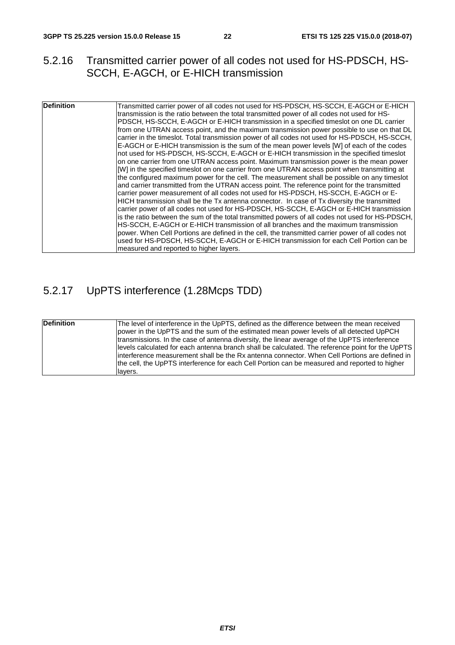#### 5.2.16 Transmitted carrier power of all codes not used for HS-PDSCH, HS-SCCH, E-AGCH, or E-HICH transmission

| Definition | Transmitted carrier power of all codes not used for HS-PDSCH, HS-SCCH, E-AGCH or E-HICH<br>transmission is the ratio between the total transmitted power of all codes not used for HS-<br>PDSCH, HS-SCCH, E-AGCH or E-HICH transmission in a specified timeslot on one DL carrier<br>from one UTRAN access point, and the maximum transmission power possible to use on that DL<br>carrier in the timeslot. Total transmission power of all codes not used for HS-PDSCH, HS-SCCH,<br>E-AGCH or E-HICH transmission is the sum of the mean power levels [W] of each of the codes<br>not used for HS-PDSCH, HS-SCCH, E-AGCH or E-HICH transmission in the specified timeslot<br>on one carrier from one UTRAN access point. Maximum transmission power is the mean power<br>[W] in the specified timeslot on one carrier from one UTRAN access point when transmitting at<br>the configured maximum power for the cell. The measurement shall be possible on any timeslot<br>and carrier transmitted from the UTRAN access point. The reference point for the transmitted<br>carrier power measurement of all codes not used for HS-PDSCH, HS-SCCH, E-AGCH or E-<br>HICH transmission shall be the Tx antenna connector. In case of Tx diversity the transmitted<br>carrier power of all codes not used for HS-PDSCH, HS-SCCH, E-AGCH or E-HICH transmission<br>is the ratio between the sum of the total transmitted powers of all codes not used for HS-PDSCH,<br>HS-SCCH, E-AGCH or E-HICH transmission of all branches and the maximum transmission<br>power. When Cell Portions are defined in the cell, the transmitted carrier power of all codes not<br>used for HS-PDSCH, HS-SCCH, E-AGCH or E-HICH transmission for each Cell Portion can be<br>measured and reported to higher layers. |
|------------|-------------------------------------------------------------------------------------------------------------------------------------------------------------------------------------------------------------------------------------------------------------------------------------------------------------------------------------------------------------------------------------------------------------------------------------------------------------------------------------------------------------------------------------------------------------------------------------------------------------------------------------------------------------------------------------------------------------------------------------------------------------------------------------------------------------------------------------------------------------------------------------------------------------------------------------------------------------------------------------------------------------------------------------------------------------------------------------------------------------------------------------------------------------------------------------------------------------------------------------------------------------------------------------------------------------------------------------------------------------------------------------------------------------------------------------------------------------------------------------------------------------------------------------------------------------------------------------------------------------------------------------------------------------------------------------------------------------------------------------------------------------------------------------------------|

### 5.2.17 UpPTS interference (1.28Mcps TDD)

| <b>Definition</b> | The level of interference in the UpPTS, defined as the difference between the mean received<br>power in the UpPTS and the sum of the estimated mean power levels of all detected UpPCH<br>transmissions. In the case of antenna diversity, the linear average of the UpPTS interference             |
|-------------------|-----------------------------------------------------------------------------------------------------------------------------------------------------------------------------------------------------------------------------------------------------------------------------------------------------|
|                   | levels calculated for each antenna branch shall be calculated. The reference point for the UpPTS<br>linterference measurement shall be the Rx antenna connector. When Cell Portions are defined in<br>the cell, the UpPTS interference for each Cell Portion can be measured and reported to higher |
|                   | llavers.                                                                                                                                                                                                                                                                                            |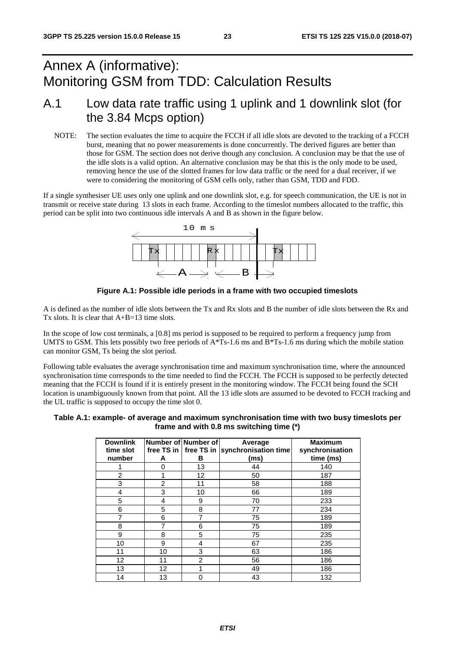# Annex A (informative): Monitoring GSM from TDD: Calculation Results

### A.1 Low data rate traffic using 1 uplink and 1 downlink slot (for the 3.84 Mcps option)

NOTE: The section evaluates the time to acquire the FCCH if all idle slots are devoted to the tracking of a FCCH burst, meaning that no power measurements is done concurrently. The derived figures are better than those for GSM. The section does not derive though any conclusion. A conclusion may be that the use of the idle slots is a valid option. An alternative conclusion may be that this is the only mode to be used, removing hence the use of the slotted frames for low data traffic or the need for a dual receiver, if we were to considering the monitoring of GSM cells only, rather than GSM, TDD and FDD.

If a single synthesiser UE uses only one uplink and one downlink slot, e.g. for speech communication, the UE is not in transmit or receive state during 13 slots in each frame. According to the timeslot numbers allocated to the traffic, this period can be split into two continuous idle intervals A and B as shown in the figure below.





A is defined as the number of idle slots between the Tx and Rx slots and B the number of idle slots between the Rx and Tx slots. It is clear that  $A+B=13$  time slots.

In the scope of low cost terminals, a [0.8] ms period is supposed to be required to perform a frequency jump from UMTS to GSM. This lets possibly two free periods of  $A*Ts-1.6$  ms and  $B*Ts-1.6$  ms during which the mobile station can monitor GSM, Ts being the slot period.

Following table evaluates the average synchronisation time and maximum synchronisation time, where the announced synchronisation time corresponds to the time needed to find the FCCH. The FCCH is supposed to be perfectly detected meaning that the FCCH is found if it is entirely present in the monitoring window. The FCCH being found the SCH location is unambiguously known from that point. All the 13 idle slots are assumed to be devoted to FCCH tracking and the UL traffic is supposed to occupy the time slot 0.

| Table A.1: example- of average and maximum synchronisation time with two busy timeslots per |
|---------------------------------------------------------------------------------------------|
| frame and with 0.8 ms switching time (*)                                                    |

| <b>Downlink</b><br>time slot<br>number | А              | Number of Number of<br>В | Average<br>free TS in $ $ free TS in $ $ synchronisation time<br>(ms) | <b>Maximum</b><br>synchronisation<br>time (ms) |
|----------------------------------------|----------------|--------------------------|-----------------------------------------------------------------------|------------------------------------------------|
|                                        | O              | 13                       | 44                                                                    | 140                                            |
| 2                                      |                | 12                       | 50                                                                    | 187                                            |
| 3                                      | $\overline{2}$ | 11                       | 58                                                                    | 188                                            |
| 4                                      | 3              | 10                       | 66                                                                    | 189                                            |
| 5                                      | 4              | 9                        | 70                                                                    | 233                                            |
| 6                                      | 5              | 8                        | 77                                                                    | 234                                            |
| 7                                      | 6              | 7                        | 75                                                                    | 189                                            |
| 8                                      | 7              | 6                        | 75                                                                    | 189                                            |
| 9                                      | 8              | 5                        | 75                                                                    | 235                                            |
| 10                                     | 9              | 4                        | 67                                                                    | 235                                            |
| 11                                     | 10             | 3                        | 63                                                                    | 186                                            |
| 12                                     | 11             | $\overline{2}$           | 56                                                                    | 186                                            |
| 13                                     | 12             |                          | 49                                                                    | 186                                            |
| 14                                     | 13             | 0                        | 43                                                                    | 132                                            |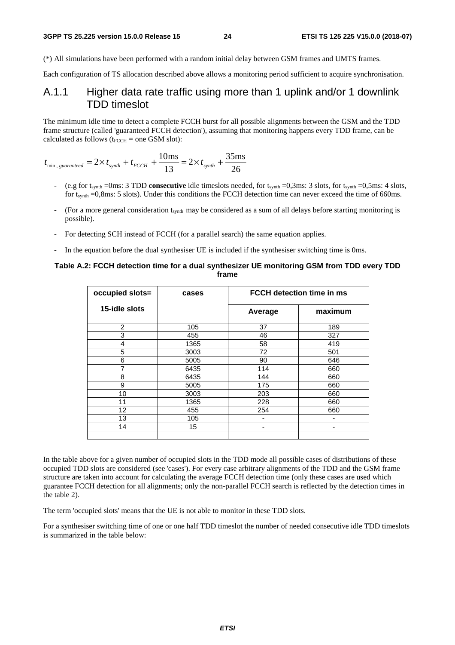(\*) All simulations have been performed with a random initial delay between GSM frames and UMTS frames.

Each configuration of TS allocation described above allows a monitoring period sufficient to acquire synchronisation.

#### A.1.1 Higher data rate traffic using more than 1 uplink and/or 1 downlink TDD timeslot

The minimum idle time to detect a complete FCCH burst for all possible alignments between the GSM and the TDD frame structure (called 'guaranteed FCCH detection'), assuming that monitoring happens every TDD frame, can be calculated as follows ( $t_{\text{FCCH}}$  = one GSM slot):

$$
t_{\min, \, guaranteed} = 2 \times t_{\text{synth}} + t_{\text{FCCH}} + \frac{10 \text{ms}}{13} = 2 \times t_{\text{synth}} + \frac{35 \text{ms}}{26}
$$

- (e.g for t<sub>synth</sub> =0ms: 3 TDD **consecutive** idle timeslots needed, for t<sub>synth</sub> =0,3ms: 3 slots, for t<sub>synth</sub> =0,5ms: 4 slots, for t<sub>synth</sub> =0,8ms: 5 slots). Under this conditions the FCCH detection time can never exceed the time of 660ms.
- (For a more general consideration t<sub>synth</sub> may be considered as a sum of all delays before starting monitoring is possible).
- For detecting SCH instead of FCCH (for a parallel search) the same equation applies.
- In the equation before the dual synthesiser UE is included if the synthesiser switching time is 0ms.

#### **Table A.2: FCCH detection time for a dual synthesizer UE monitoring GSM from TDD every TDD frame**

| occupied slots= | cases | <b>FCCH detection time in ms</b> |         |
|-----------------|-------|----------------------------------|---------|
| 15-idle slots   |       | Average                          | maximum |
| $\overline{2}$  | 105   | 37                               | 189     |
| 3               | 455   | 46                               | 327     |
| 4               | 1365  | 58                               | 419     |
| 5               | 3003  | 72                               | 501     |
| 6               | 5005  | 90                               | 646     |
| 7               | 6435  | 114                              | 660     |
| 8               | 6435  | 144                              | 660     |
| 9               | 5005  | 175                              | 660     |
| 10              | 3003  | 203                              | 660     |
| 11              | 1365  | 228                              | 660     |
| 12              | 455   | 254                              | 660     |
| 13              | 105   |                                  |         |
| 14              | 15    |                                  |         |
|                 |       |                                  |         |

In the table above for a given number of occupied slots in the TDD mode all possible cases of distributions of these occupied TDD slots are considered (see 'cases'). For every case arbitrary alignments of the TDD and the GSM frame structure are taken into account for calculating the average FCCH detection time (only these cases are used which guarantee FCCH detection for all alignments; only the non-parallel FCCH search is reflected by the detection times in the table 2).

The term 'occupied slots' means that the UE is not able to monitor in these TDD slots.

For a synthesiser switching time of one or one half TDD timeslot the number of needed consecutive idle TDD timeslots is summarized in the table below: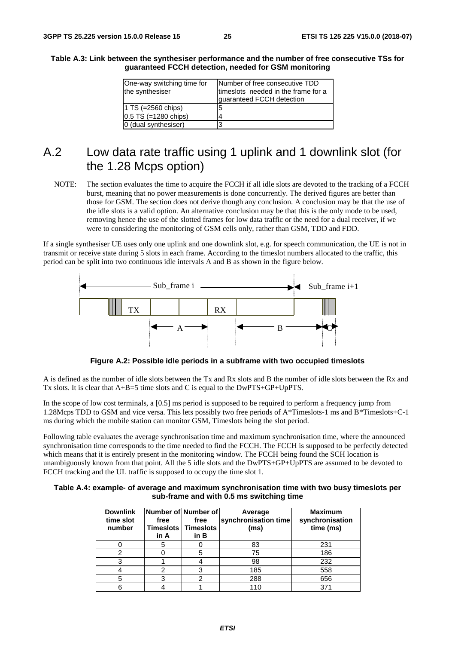| Table A.3: Link between the synthesiser performance and the number of free consecutive TSs for |
|------------------------------------------------------------------------------------------------|
| guaranteed FCCH detection, needed for GSM monitoring                                           |

| One-way switching time for<br>the synthesiser | Number of free consecutive TDD<br>timeslots needed in the frame for a<br>guaranteed FCCH detection |
|-----------------------------------------------|----------------------------------------------------------------------------------------------------|
| 1 TS $(=2560 \text{ chips})$                  | 5                                                                                                  |
| $0.5$ TS (=1280 chips)                        | 4                                                                                                  |
| 0 (dual synthesiser)                          | 3                                                                                                  |

#### A.2 Low data rate traffic using 1 uplink and 1 downlink slot (for the 1.28 Mcps option)

NOTE: The section evaluates the time to acquire the FCCH if all idle slots are devoted to the tracking of a FCCH burst, meaning that no power measurements is done concurrently. The derived figures are better than those for GSM. The section does not derive though any conclusion. A conclusion may be that the use of the idle slots is a valid option. An alternative conclusion may be that this is the only mode to be used, removing hence the use of the slotted frames for low data traffic or the need for a dual receiver, if we were to considering the monitoring of GSM cells only, rather than GSM, TDD and FDD.

If a single synthesiser UE uses only one uplink and one downlink slot, e.g. for speech communication, the UE is not in transmit or receive state during 5 slots in each frame. According to the timeslot numbers allocated to the traffic, this period can be split into two continuous idle intervals A and B as shown in the figure below.



**Figure A.2: Possible idle periods in a subframe with two occupied timeslots** 

A is defined as the number of idle slots between the Tx and Rx slots and B the number of idle slots between the Rx and Tx slots. It is clear that A+B=5 time slots and C is equal to the DwPTS+GP+UpPTS.

In the scope of low cost terminals, a [0.5] ms period is supposed to be required to perform a frequency jump from 1.28Mcps TDD to GSM and vice versa. This lets possibly two free periods of A\*Timeslots-1 ms and B\*Timeslots+C-1 ms during which the mobile station can monitor GSM, Timeslots being the slot period.

Following table evaluates the average synchronisation time and maximum synchronisation time, where the announced synchronisation time corresponds to the time needed to find the FCCH. The FCCH is supposed to be perfectly detected which means that it is entirely present in the monitoring window. The FCCH being found the SCH location is unambiguously known from that point. All the 5 idle slots and the DwPTS+GP+UpPTS are assumed to be devoted to FCCH tracking and the UL traffic is supposed to occupy the time slot 1.

| Table A.4: example- of average and maximum synchronisation time with two busy timeslots per |  |
|---------------------------------------------------------------------------------------------|--|
| sub-frame and with 0.5 ms switching time                                                    |  |

| <b>Downlink</b><br>time slot<br>number | Number of Number of<br>free<br><b>Timeslots</b><br>in A | free<br><b>Timeslots</b><br>in B | Average<br>synchronisation time<br>(ms) | <b>Maximum</b><br>synchronisation<br>time (ms) |
|----------------------------------------|---------------------------------------------------------|----------------------------------|-----------------------------------------|------------------------------------------------|
|                                        |                                                         |                                  | 83                                      | 231                                            |
|                                        |                                                         |                                  | 75                                      | 186                                            |
|                                        |                                                         |                                  | 98                                      | 232                                            |
|                                        |                                                         |                                  | 185                                     | 558                                            |
|                                        |                                                         |                                  | 288                                     | 656                                            |
|                                        |                                                         |                                  |                                         | 27                                             |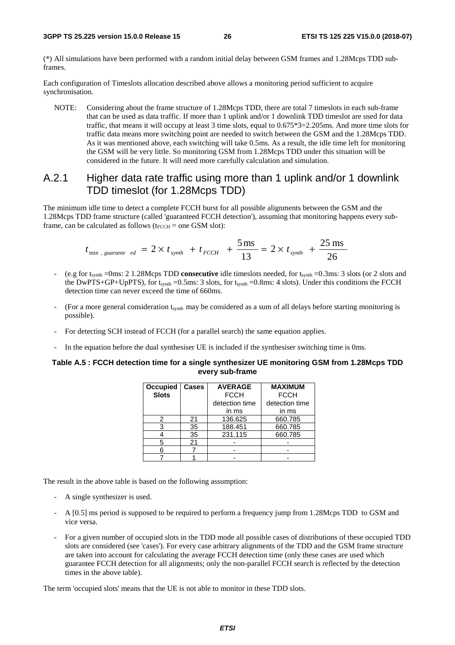(\*) All simulations have been performed with a random initial delay between GSM frames and 1.28Mcps TDD subframes.

Each configuration of Timeslots allocation described above allows a monitoring period sufficient to acquire synchronisation.

NOTE: Considering about the frame structure of 1.28Mcps TDD, there are total 7 timeslots in each sub-frame that can be used as data traffic. If more than 1 uplink and/or 1 downlink TDD timeslot are used for data traffic, that means it will occupy at least 3 time slots, equal to 0.675\*3=2.205ms. And more time slots for traffic data means more switching point are needed to switch between the GSM and the 1.28Mcps TDD. As it was mentioned above, each switching will take 0.5ms. As a result, the idle time left for monitoring the GSM will be very little. So monitoring GSM from 1.28Mcps TDD under this situation will be considered in the future. It will need more carefully calculation and simulation.

#### A.2.1 Higher data rate traffic using more than 1 uplink and/or 1 downlink TDD timeslot (for 1.28Mcps TDD)

The minimum idle time to detect a complete FCCH burst for all possible alignments between the GSM and the 1.28Mcps TDD frame structure (called 'guaranteed FCCH detection'), assuming that monitoring happens every subframe, can be calculated as follows ( $t_{\text{FCCH}}$  = one GSM slot):

$$
t_{\min, \; guarantee\; ed} = 2 \times t_{\text{synth}} + t_{\text{FCCH}} + \frac{5 \,\text{ms}}{13} = 2 \times t_{\text{synth}} + \frac{25 \,\text{ms}}{26}
$$

- (e.g for tsynth =0ms: 2 1.28Mcps TDD **consecutive** idle timeslots needed, for tsynth =0.3ms: 3 slots (or 2 slots and the DwPTS+GP+UpPTS), for  $t_{synth} = 0.5$ ms: 3 slots, for  $t_{synth} = 0.8$ ms: 4 slots). Under this conditions the FCCH detection time can never exceed the time of 660ms.
- (For a more general consideration t<sub>synth</sub> may be considered as a sum of all delays before starting monitoring is possible).
- For detecting SCH instead of FCCH (for a parallel search) the same equation applies.
- In the equation before the dual synthesiser UE is included if the synthesiser switching time is 0ms.

#### **Table A.5 : FCCH detection time for a single synthesizer UE monitoring GSM from 1.28Mcps TDD every sub-frame**

| Occupied     | <b>Cases</b> | <b>AVERAGE</b> | <b>MAXIMUM</b> |
|--------------|--------------|----------------|----------------|
| <b>Slots</b> |              | <b>FCCH</b>    | <b>FCCH</b>    |
|              |              | detection time | detection time |
|              |              | in ms          | in ms          |
|              | 21           | 136.625        | 660.785        |
|              | 35           | 188.451        | 660.785        |
|              | 35           | 231.115        | 660.785        |
| 5            | 21           |                |                |
|              |              |                |                |
|              |              |                |                |

The result in the above table is based on the following assumption:

- A single synthesizer is used.
- A [0.5] ms period is supposed to be required to perform a frequency jump from 1.28Mcps TDD to GSM and vice versa.
- For a given number of occupied slots in the TDD mode all possible cases of distributions of these occupied TDD slots are considered (see 'cases'). For every case arbitrary alignments of the TDD and the GSM frame structure are taken into account for calculating the average FCCH detection time (only these cases are used which guarantee FCCH detection for all alignments; only the non-parallel FCCH search is reflected by the detection times in the above table).

The term 'occupied slots' means that the UE is not able to monitor in these TDD slots.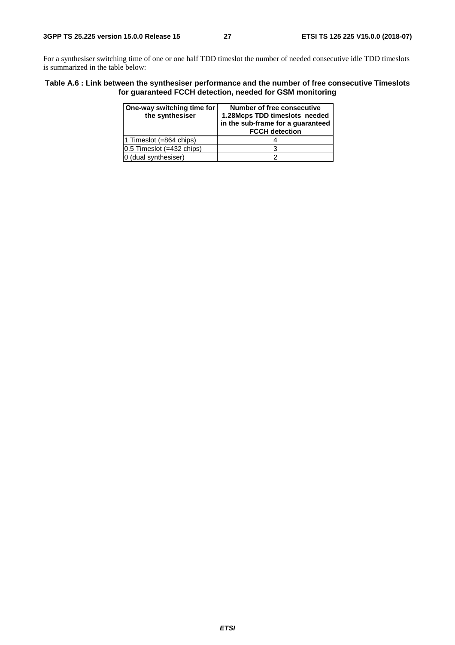For a synthesiser switching time of one or one half TDD timeslot the number of needed consecutive idle TDD timeslots is summarized in the table below:

#### **Table A.6 : Link between the synthesiser performance and the number of free consecutive Timeslots for guaranteed FCCH detection, needed for GSM monitoring**

| One-way switching time for<br>the synthesiser | Number of free consecutive<br>1.28Mcps TDD timeslots needed<br>in the sub-frame for a guaranteed<br><b>FCCH detection</b> |
|-----------------------------------------------|---------------------------------------------------------------------------------------------------------------------------|
| 1 Timeslot $(=864 \text{ chips})$             |                                                                                                                           |
| $0.5$ Timeslot (=432 chips)                   |                                                                                                                           |
| 0 (dual synthesiser)                          |                                                                                                                           |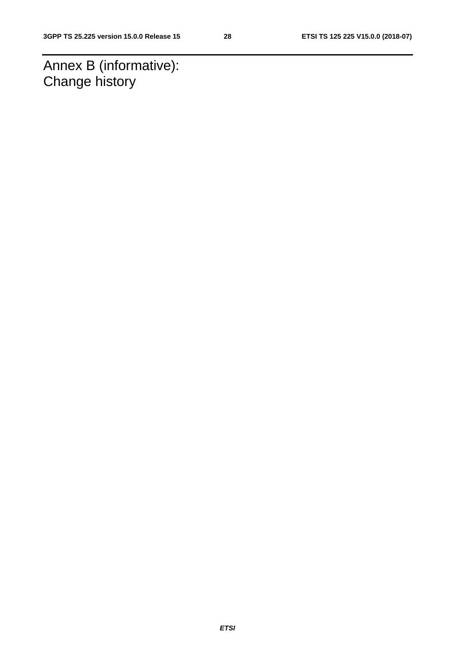Annex B (informative): Change history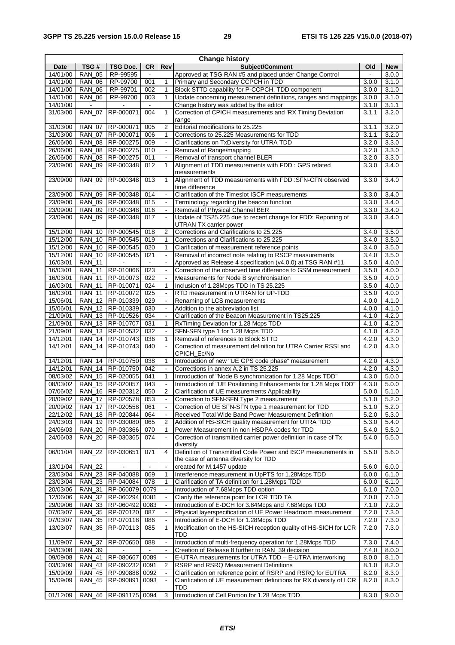| <b>Change history</b> |                      |                           |                |                                            |                                                                               |                |            |
|-----------------------|----------------------|---------------------------|----------------|--------------------------------------------|-------------------------------------------------------------------------------|----------------|------------|
| Date                  | TSG#                 | <b>TSG Doc.</b>           | CR             | Rev                                        | Subject/Comment                                                               | Old            | <b>New</b> |
| 14/01/00              | <b>RAN 05</b>        | RP-99595                  | $\blacksquare$ |                                            | Approved at TSG RAN #5 and placed under Change Control                        | $\blacksquare$ | 3.0.0      |
| 14/01/00              | <b>RAN_06</b>        | RP-99700                  | 001            | $\mathbf{1}$                               | Primary and Secondary CCPCH in TDD                                            | 3.0.0          | 3.1.0      |
| 14/01/00              | <b>RAN 06</b>        | RP-99701                  | 002            | 1                                          | Block STTD capability for P-CCPCH, TDD component                              | 3.0.0          | 3.1.0      |
| 14/01/00              | <b>RAN 06</b>        | RP-99700                  | 003            | $\mathbf{1}$                               | Update concerning measurement definitions, ranges and mappings                | 3.0.0          | 3.1.0      |
| 14/01/00              | $\sim$               |                           | $\sim$         |                                            | Change history was added by the editor                                        | 3.1.0          | 3.1.1      |
| 31/03/00              | <b>RAN_07</b>        | RP-000071                 | 004            | $\mathbf{1}$                               | Correction of CPICH measurements and 'RX Timing Deviation'                    | 3.1.1          | 3.2.0      |
|                       |                      |                           |                |                                            | range                                                                         |                |            |
| 31/03/00              | <b>RAN_07</b>        | RP-000071                 | 005            | $\overline{2}$                             | Editorial modifications to 25.225                                             | 3.1.1          | 3.2.0      |
| 31/03/00              | <b>RAN 07</b>        | RP-000071                 | 006            | 1                                          | Corrections to 25.225 Measurements for TDD                                    | 3.1.1          | 3.2.0      |
| 26/06/00              | <b>RAN 08</b>        | RP-000275                 | 009            |                                            | Clarifications on TxDiversity for UTRA TDD                                    | 3.2.0          | 3.3.0      |
| 26/06/00              | <b>RAN_08</b>        | RP-000275                 | 010            | $\blacksquare$                             | Removal of Range/mapping                                                      | 3.2.0          | 3.3.0      |
| 26/06/00              | <b>RAN 08</b>        | RP-000275                 | 011            | $\ddot{\phantom{a}}$                       | Removal of transport channel BLER                                             | 3.2.0          | 3.3.0      |
| 23/09/00              | <b>RAN 09</b>        | RP-000348                 | 012            | 1                                          | Alignment of TDD measurements with FDD : GPS related                          | 3.3.0          | 3.4.0      |
|                       |                      |                           |                |                                            | measurements                                                                  |                |            |
| 23/09/00              | <b>RAN_09</b>        | RP-000348                 | 013            | $\mathbf{1}$                               | Alignment of TDD measurements with FDD :SFN-CFN observed                      | 3.3.0          | 3.4.0      |
|                       |                      |                           |                |                                            | time difference                                                               |                |            |
| 23/09/00              | <b>RAN 09</b>        | RP-000348                 | 014            | $\Box$                                     | Clarification of the Timeslot ISCP measurements                               | 3.3.0          | 3.4.0      |
| 23/09/00              | <b>RAN 09</b>        | RP-000348                 | 015            |                                            | Terminology regarding the beacon function                                     | 3.3.0          | 3.4.0      |
| 23/09/00              | <b>RAN_09</b>        | RP-000348                 | 016            |                                            | Removal of Physical Channel BER                                               | 3.3.0          | 3.4.0      |
| 23/09/00              | <b>RAN_09</b>        | RP-000348                 | 017            | $\ddot{\phantom{a}}$                       | Update of TS25.225 due to recent change for FDD: Reporting of                 | 3.3.0          | 3.4.0      |
|                       |                      |                           |                |                                            | UTRAN TX carrier power                                                        |                |            |
| 15/12/00              | <b>RAN_10</b>        | RP-000545                 | 018            | $\overline{2}$                             | Corrections and Clarifications to 25.225                                      | 3.4.0          | 3.5.0      |
| 15/12/00              | $\overline{RAN}$ _10 | RP-000545                 | 019            | $\mathbf{1}$                               | Corrections and Clarifications to 25.225                                      | 3.4.0          | 3.5.0      |
| 15/12/00              | <b>RAN_10</b>        | RP-000545                 | 020            | $\mathbf{1}$                               | Clarification of measurement reference points                                 | 3.4.0          | 3.5.0      |
| 15/12/00              | <b>RAN 10</b>        | RP-000545                 | 021            | $\blacksquare$                             | Removal of incorrect note relating to RSCP measurements                       | 3.4.0          | 3.5.0      |
| 16/03/01              | <b>RAN_11</b>        |                           | $\blacksquare$ | $\blacksquare$                             | Approved as Release 4 specification (v4.0.0) at TSG RAN #11                   | 3.5.0          | 4.0.0      |
| 16/03/01              | <b>RAN_11</b>        | RP-010066                 | 023            | $\blacksquare$                             | Correction of the observed time difference to GSM measurement                 | 3.5.0          | 4.0.0      |
| 16/03/01              | <b>RAN 11</b>        | RP-010073                 | 022            | $\overline{\phantom{a}}$                   | Measurements for Node B synchronisation                                       | 3.5.0          | 4.0.0      |
| 16/03/01              | <b>RAN_11</b>        | RP-010071                 | 024            | 1                                          | Inclusion of 1.28Mcps TDD in TS 25.225                                        | 3.5.0          | 4.0.0      |
| 16/03/01              | <b>RAN_11</b>        | RP-010072                 | 025            | $\blacksquare$                             | RTD measurement in UTRAN for UP-TDD                                           | 3.5.0          | 4.0.0      |
| 15/06/01              | <b>RAN 12</b>        | RP-010339                 | 029            | $\ddot{\phantom{a}}$                       | Renaming of LCS measurements                                                  | 4.0.0          | 4.1.0      |
| 15/06/01              | <b>RAN 12</b>        | RP-010339                 | 030            | $\overline{\phantom{a}}$                   | Addition to the abbreviation list                                             | 4.0.0          | 4.1.0      |
| 21/09/01              | <b>RAN_13</b>        | RP-010526                 | 034            | $\blacksquare$                             | Clarification of the Beacon Measurement in TS25.225                           | 4.1.0          | 4.2.0      |
| 21/09/01              | $RAN_13$             | RP-010707                 | 031            | $\mathbf{1}$                               | RxTiming Deviation for 1.28 Mcps TDD                                          | 4.1.0          | 4.2.0      |
| 21/09/01              | <b>RAN 13</b>        | RP-010532                 | 032            | $\overline{\phantom{a}}$                   | SFN-SFN type 1 for 1.28 Mcps TDD                                              | 4.1.0          | 4.2.0      |
| 14/12/01              | <b>RAN_14</b>        | RP-010743                 | 036            | 1                                          | Removal of references to Block STTD                                           | 4.2.0          | 4.3.0      |
| 14/12/01              | <b>RAN_14</b>        | RP-010743                 | 040            | $\overline{\phantom{a}}$                   | Correction of measurement definition for UTRA Carrier RSSI and                | 4.2.0          | 4.3.0      |
|                       |                      |                           |                |                                            | CPICH_Ec/No                                                                   |                |            |
| 14/12/01              | <b>RAN_14</b>        | RP-010750                 | 038            | 1                                          | Introduction of new "UE GPS code phase" measurement                           | 4.2.0          | 4.3.0      |
| 14/12/01              |                      | RAN_14   RP-010750        | 042            | $\Box$                                     | Corrections in annex A.2 in TS 25.225                                         | 4.2.0          | 4.3.0      |
| 08/03/02              |                      | RAN_15   RP-020055        | 041            | 1                                          | Introduction of "Node B synchronization for 1.28 Mcps TDD"                    | 4.3.0          | 5.0.0      |
| 08/03/02              | $RAN_15$             | RP-020057                 | 043<br>050     | $\overline{\phantom{a}}$<br>$\overline{2}$ | Introduction of "UE Positioning Enhancements for 1.28 Mcps TDD"               | 4.3.0<br>5.0.0 | 5.0.0      |
| 07/06/02              | <b>RAN_16</b>        | RP-020312                 |                |                                            | Clarification of UE measurements Applicability                                |                | 5.1.0      |
| 20/09/02              | <b>RAN_17</b>        | RP-0205/8                 | 053            | $\Box$                                     | Correction to SFN-SFN Type 2 measurement                                      | 5.1.0          | 5.2.0      |
| 20/09/02              | <b>RAN_17</b>        | RP-020558                 | 061            |                                            | Correction of UE SFN-SFN type 1 measurement for TDD                           | 5.1.0          | 5.2.0      |
| 22/12/02              |                      | RAN_18   RP-020844        | 064            | $\blacksquare$                             | Received Total Wide Band Power Measurement Definition                         | 5.2.0          | 5.3.0      |
| 24/03/03              |                      | RAN_19 RP-030080          | 065            | 2                                          | Addition of HS-SICH quality measurement for UTRA TDD                          | 5.3.0          | 5.4.0      |
| 24/06/03<br>24/06/03  | <b>RAN 20</b>        | RP-030366                 | 070            | 1                                          | Power Measurement in non HSDPA codes for TDD                                  | 5.4.0          | 5.5.0      |
|                       | <b>RAN_20</b>        | RP-030365                 | 074            |                                            | Correction of transmitted carrier power definition in case of Tx<br>diversity | 5.4.0          | 5.5.0      |
| 06/01/04              | <b>RAN_22</b>        | RP-030651                 | 071            | 4                                          | Definition of Transmitted Code Power and ISCP measurements in                 | 5.5.0          | 5.6.0      |
|                       |                      |                           |                |                                            | the case of antenna diversity for TDD                                         |                |            |
| 13/01/04              | <b>RAN 22</b>        |                           |                | $\ddot{\phantom{a}}$                       | created for M.1457 update                                                     | 5.6.0          | 6.0.0      |
| 23/03/04              |                      | RAN_23   RP-040088        | 069            | 1                                          | Interference measurement in UpPTS for 1.28Mcps TDD                            | 6.0.0          | 6.1.0      |
| 23/03/04              |                      | RAN_23 RP-040084          | 078            | 1                                          | Clarification of TA definition for 1.28Mcps TDD                               | 6.0.0          | 6.1.0      |
| 20/03/06              | RAN_31               | RP-060079                 | 0079           |                                            | Introduction of 7.68Mcps TDD option                                           | 6.1.0          | 7.0.0      |
| 12/06/06              | <b>RAN_32</b>        | RP-060294                 | 0081           |                                            | Clarify the reference point for LCR TDD TA                                    | 7.0.0          | 7.1.0      |
| 29/09/06              |                      | RAN_33 RP-060492          | 0083           | $\blacksquare$                             | Introduction of E-DCH for 3.84Mcps and 7.68Mcps TDD                           | 7.1.0          | 7.2.0      |
| 07/03/07              | <b>RAN_35</b>        | RP-070120                 | 087            | $\blacksquare$                             | Physical layerspecification of UE Power Headroom measurement                  | 7.2.0          | 7.3.0      |
| 07/03/07              | <b>RAN_35</b>        | RP-070118                 | 086            | $\Box$                                     | Introduction of E-DCH for 1.28Mcps TDD                                        | 7.2.0          | 7.3.0      |
| 13/03/07              | <b>RAN_35</b>        | RP-070113                 | 085            | 1                                          | Modification on the HS-SICH reception quality of HS-SICH for LCR              | 7.2.0          | 7.3.0      |
|                       |                      |                           |                |                                            | TDD                                                                           |                |            |
| 11/09/07              | <b>RAN_37</b>        | RP-070650                 | 088            | $\blacksquare$                             | Introduction of multi-frequency operation for 1.28Mcps TDD                    | 7.3.0          | 7.4.0      |
| 04/03/08              | <b>RAN_39</b>        |                           |                |                                            | Creation of Release 8 further to RAN_39 decision                              | 7.4.0          | 8.0.0      |
| 09/09/08              | <b>RAN_41</b>        | RP-080667                 | 0089           | $\blacksquare$                             | E-UTRA measurements for UTRA TDD - E-UTRA interworking                        | 8.0.0          | 8.1.0      |
| 03/03/09              | <b>RAN_43</b>        | RP-090232                 | 0091           | 2                                          | RSRP and RSRQ Measurement Definitions                                         | 8.1.0          | 8.2.0      |
| 15/09/09              | <b>RAN_45</b>        | RP-090888                 | 0092           |                                            | Clarification on reference point of RSRP and RSRQ for EUTRA                   | 8.2.0          | 8.3.0      |
| 15/09/09              | <b>RAN_45</b>        | RP-090891                 | 0093           | $\Box$                                     | Clarification of UE measurement definitions for RX diversity of LCR           | 8.2.0          | 8.3.0      |
|                       |                      |                           |                |                                            | TDD                                                                           |                |            |
| 01/12/09              |                      | RAN_46   RP-091175   0094 |                | 3                                          | Introduction of Cell Portion for 1.28 Mcps TDD                                | 8.3.0          | 9.0.0      |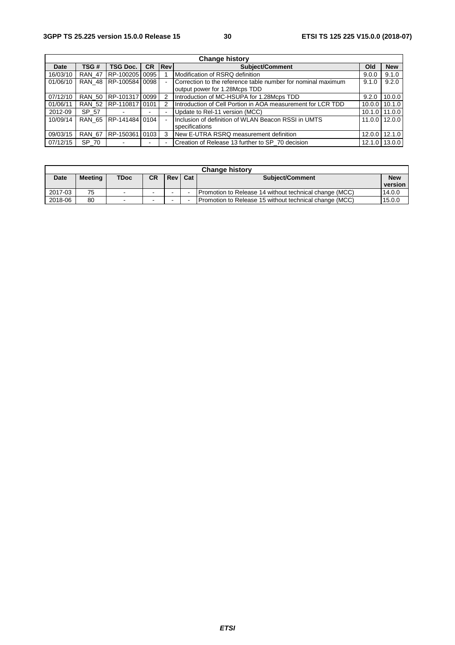| <b>Change history</b> |               |                 |           |                |                                                                        |        |            |
|-----------------------|---------------|-----------------|-----------|----------------|------------------------------------------------------------------------|--------|------------|
| Date                  | TSG#          | <b>TSG Doc.</b> | <b>CR</b> | <b>Rev</b>     | <b>Subject/Comment</b>                                                 | Old    | <b>New</b> |
| 16/03/10              | <b>RAN 47</b> | RP-100205 0095  |           |                | Modification of RSRQ definition                                        |        | 9.1.0      |
| 01/06/10              | <b>RAN 48</b> | RP-100584 0098  |           | $\mathbf{r}$   | Correction to the reference table number for nominal maximum           | 9.1.0  | 9.2.0      |
|                       |               |                 |           |                | output power for 1.28Mcps TDD                                          |        |            |
| 07/12/10              | <b>RAN 50</b> | RP-101317 0099  |           | 2              | Introduction of MC-HSUPA for 1.28Mcps TDD<br>9.2.0                     |        | 10.0.0     |
| 01/06/11              | <b>RAN 52</b> | RP-110817 0101  |           | 2              | Introduction of Cell Portion in AOA measurement for LCR TDD<br>10.0.01 |        | 10.1.0     |
| 2012-09               | SP 57         |                 | ۰.        |                | Update to Rel-11 version (MCC)                                         | 10.1.0 | 11.0.0     |
| 10/09/14              | <b>RAN 65</b> | RP-141484 0104  |           |                | Inclusion of definition of WLAN Beacon RSSI in UMTS<br>11.0.0          |        | 12.0.0     |
|                       |               |                 |           |                | specifications                                                         |        |            |
| 09/03/15              | <b>RAN 67</b> | RP-150361 0103  |           | 3              | New E-UTRA RSRQ measurement definition<br>12.0.0                       |        | 12.1.0     |
| 07/12/15              | SP 70         |                 |           | $\blacksquare$ | Creation of Release 13 further to SP 70 decision<br>12.1.0 13.0.0      |        |            |

| <b>Change history</b> |                |                          |                          |       |     |                                                        |            |
|-----------------------|----------------|--------------------------|--------------------------|-------|-----|--------------------------------------------------------|------------|
| <b>Date</b>           | <b>Meeting</b> | <b>TDoc</b>              | СR                       | Rev l | Cat | <b>Subject/Comment</b>                                 | <b>New</b> |
|                       |                |                          |                          |       |     |                                                        | version    |
| 2017-03               | 75             | $\overline{\phantom{a}}$ | $\overline{\phantom{a}}$ |       |     | Promotion to Release 14 without technical change (MCC) | 14.0.0     |
| 2018-06               | 80             | $\sim$                   | $\sim$                   |       |     | Promotion to Release 15 without technical change (MCC) | 15.0.0     |